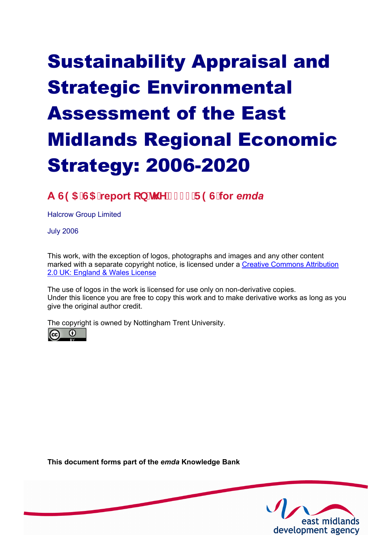# Sustainability Appraisal and Strategic Environmental Assessment of the East Midlands Regional Economic Strategy: 2006-2020

# **A 6(\$6\$report RQWKH5(6for** *emda*

Halcrow Group Limited

July 2006

This work, with the exception of logos, photographs and images and any other content [marked with a separate copyright notice, is licensed under a Creative Commons Attribution](http://creativecommons.org/licenses/by/2.0/uk) 2.0 UK: England & Wales License

The use of logos in the work is licensed for use only on non-derivative copies. Under this licence you are free to copy this work and to make derivative works as long as you give the original author credit.

The copyright is owned by Nottingham Trent University.



**This document forms part of the** *emda* **Knowledge Bank** 

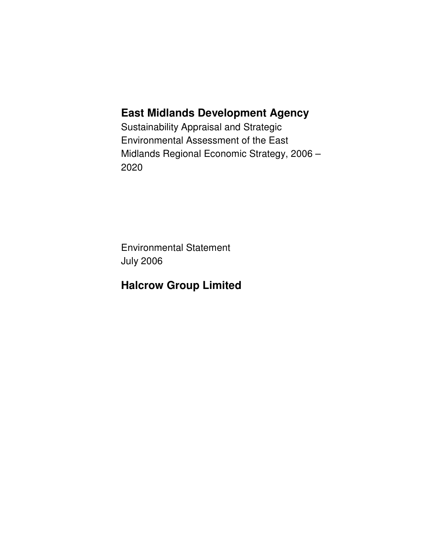### **East Midlands Development Agency**

Sustainability Appraisal and Strategic Environmental Assessment of the East Midlands Regional Economic Strategy, 2006 – 2020

Environmental Statement July 2006

### **Halcrow Group Limited**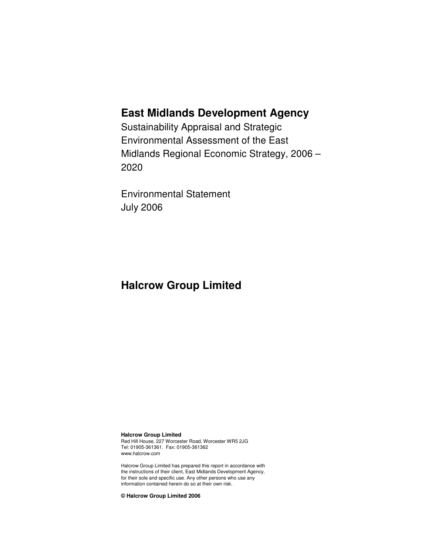### **East Midlands Development Agency**

Sustainability Appraisal and Strategic Environmental Assessment of the East Midlands Regional Economic Strategy, 2006 – 2020

Environmental Statement July 2006

### **Halcrow Group Limited**

**Halcrow Group Limited**  Red Hill House, 227 Worcester Road, Worcester WR5 2JG Tel: 01905-361361. Fax: 01905-361362 www.halcrow.com

Halcrow Group Limited has prepared this report in accordance with the instructions of their client, East Midlands Development Agency, for their sole and specific use. Any other persons who use any information contained herein do so at their own risk.

**© Halcrow Group Limited 2006**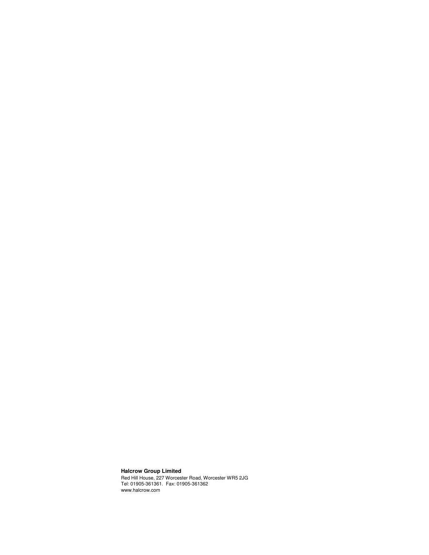#### **Halcrow Group Limited**

Red Hill House, 227 Worcester Road, Worcester WR5 2JG Tel: 01905-361361. Fax: 01905-361362 www.halcrow.com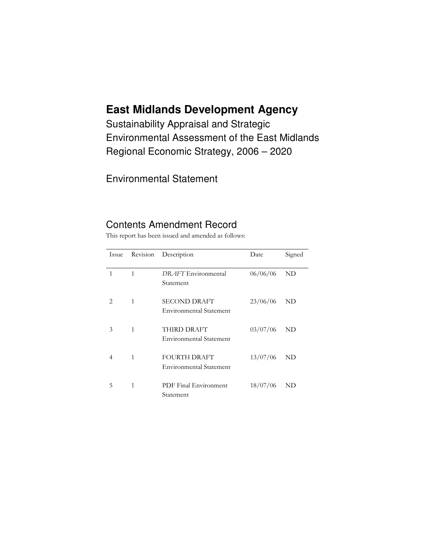## **East Midlands Development Agency**

Sustainability Appraisal and Strategic **Environmental Assessment of the East Midlands** Regional Economic Strategy, 2006 - 2020

**Environmental Statement** 

### **Contents Amendment Record**

This report has been issued and amended as follows:

| Issue          | Revision | Description                                           | Date     | Signed      |
|----------------|----------|-------------------------------------------------------|----------|-------------|
| 1              | 1        | DRAFT Environmental<br>Statement                      | 06/06/06 | ND          |
| $\overline{2}$ | 1        | <b>SECOND DRAFT</b><br><b>Environmental Statement</b> | 23/06/06 | ND          |
| 3              | 1        | THIRD DRAFT<br><b>Environmental Statement</b>         | 03/07/06 | ND          |
| 4              | 1        | <b>FOURTH DRAFT</b><br><b>Environmental Statement</b> | 13/07/06 | ND          |
| 5              | 1        | PDF Final Environment<br>Statement                    | 18/07/06 | $_{\rm ND}$ |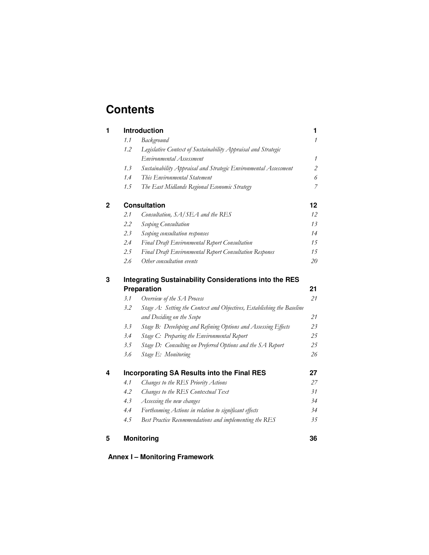### **Contents**

| $\mathcal{I}$<br>Legislative Context of Sustainability Appraisal and Strategic<br>1 |
|-------------------------------------------------------------------------------------|
|                                                                                     |
|                                                                                     |
|                                                                                     |
| Sustainability Appraisal and Strategic Environmental Assessment<br>$\overline{2}$   |
| 6                                                                                   |
| $\overline{z}$<br>The East Midlands Regional Economic Strategy                      |
| 12                                                                                  |
| 12                                                                                  |
| 13                                                                                  |
| 14                                                                                  |
| Final Draft Environmental Report Consultation<br>15                                 |
| Final Draft Environmental Report Consultation Respones<br>15                        |
| 20                                                                                  |
| <b>Integrating Sustainability Considerations into the RES</b>                       |
| 21                                                                                  |
| 21                                                                                  |
| Stage A: Setting the Context and Objectives, Establishing the Baseline              |
| 21                                                                                  |
| Stage B: Developing and Refining Options and Assessing Effects<br>23                |
| Stage C: Preparing the Environmental Report<br>25                                   |
| Stage D: Consulting on Preferred Options and the SA Report<br>25                    |
| 26                                                                                  |
| 27<br><b>Incorporating SA Results into the Final RES</b>                            |
| 27                                                                                  |
| 31                                                                                  |
| 34                                                                                  |
| Forthcoming Actions in relation to significant effects<br>34                        |
| Best Practice Recommendations and implementing the RES<br>35                        |
| 36                                                                                  |
|                                                                                     |

**Annex I-Monitoring Framework**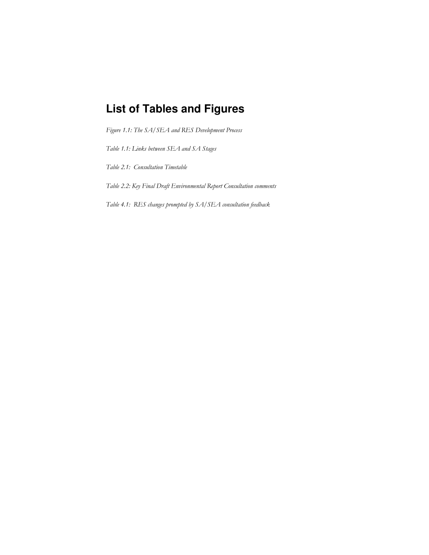# **List of Tables and Figures**

Figure 1.1: The SA/SEA and RES Development Process

Table 1.1: Links between SEA and SA Stages

Table 2.1: Consultation Timetable

Table 2.2: Key Final Draft Environmental Report Consultation comments

Table 4.1: RES changes prompted by SA/SEA consultation feedback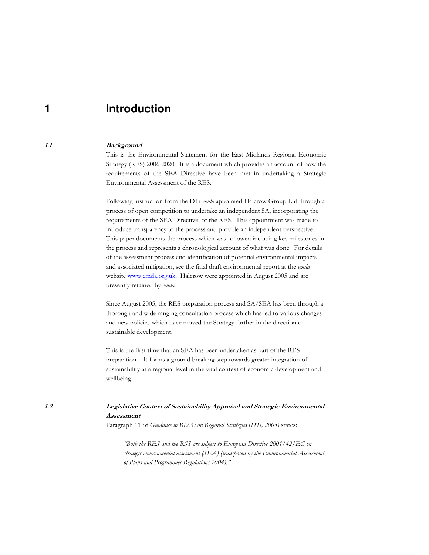#### **Introduction** 1

#### **Background**

This is the Environmental Statement for the East Midlands Regional Economic Strategy (RES) 2006-2020. It is a document which provides an account of how the requirements of the SEA Directive have been met in undertaking a Strategic Environmental Assessment of the RES.

Following instruction from the DTi emda appointed Halcrow Group Ltd through a process of open competition to undertake an independent SA, incorporating the requirements of the SEA Directive, of the RES. This appointment was made to introduce transparency to the process and provide an independent perspective. This paper documents the process which was followed including key milestones in the process and represents a chronological account of what was done. For details of the assessment process and identification of potential environmental impacts and associated mitigation, see the final draft environmental report at the emda website www.emda.org.uk. Halcrow were appointed in August 2005 and are presently retained by emda.

Since August 2005, the RES preparation process and SA/SEA has been through a thorough and wide ranging consultation process which has led to various changes and new policies which have moved the Strategy further in the direction of sustainable development.

This is the first time that an SEA has been undertaken as part of the RES preparation. It forms a ground breaking step towards greater integration of sustainability at a regional level in the vital context of economic development and wellbeing.

#### Legislative Context of Sustainability Appraisal and Strategic Environmental Assessment

Paragraph 11 of Guidance to RDAs on Regional Strategies (DTi, 2005) states:

"Both the RES and the RSS are subject to European Directive  $2001/42/EC$  on strategic environmental assessment ( $SEA$ ) (transposed by the Environmental Assessment of Plans and Programmes Regulations 2004)."

 $1.2$ 

 $1.1$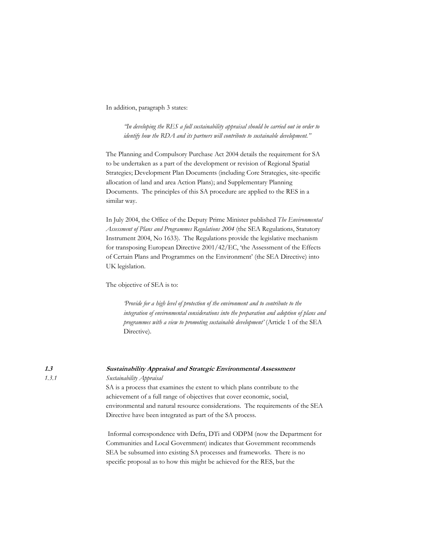In addition, paragraph 3 states:

'In developing the RES a full sustainability appraisal should be carried out in order to identify how the RDA and its partners will contribute to sustainable development."

The Planning and Compulsory Purchase Act 2004 details the requirement for SA to be undertaken as a part of the development or revision of Regional Spatial Strategies; Development Plan Documents (including Core Strategies, site-specific allocation of land and area Action Plans); and Supplementary Planning Documents. The principles of this SA procedure are applied to the RES in a similar way.

In July 2004, the Office of the Deputy Prime Minister published The Environmental Assessment of Plans and Programmes Regulations 2004 (the SEA Regulations, Statutory Instrument 2004, No 1633). The Regulations provide the legislative mechanism for transposing European Directive 2001/42/EC, 'the Assessment of the Effects of Certain Plans and Programmes on the Environment' (the SEA Directive) into UK legislation.

The objective of SEA is to:

Provide for a high level of protection of the environment and to contribute to the integration of environmental considerations into the preparation and adoption of plans and programmes with a view to promoting sustainable development' (Article 1 of the SEA Directive).

 $1.3$  $1, 3, 1$ 

#### Sustainability Appraisal and Strategic Environmental Assessment Sustainability Appraisal

SA is a process that examines the extent to which plans contribute to the achievement of a full range of objectives that cover economic, social, environmental and natural resource considerations. The requirements of the SEA Directive have been integrated as part of the SA process.

Informal correspondence with Defra, DTi and ODPM (now the Department for Communities and Local Government) indicates that Government recommends SEA be subsumed into existing SA processes and frameworks. There is no specific proposal as to how this might be achieved for the RES, but the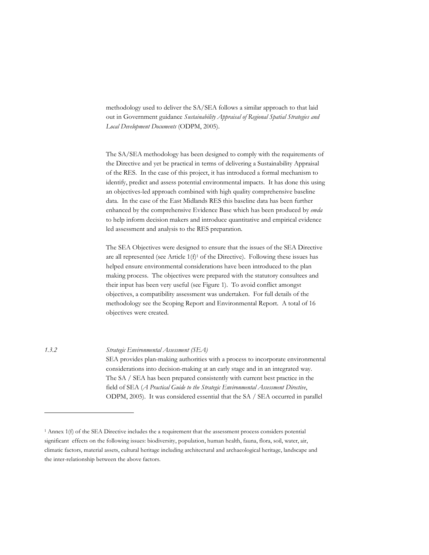methodology used to deliver the SA/SEA follows a similar approach to that laid out in Government guidance Sustainability Appraisal of Regional Spatial Strategies and Local Development Documents (ODPM, 2005).

The SA/SEA methodology has been designed to comply with the requirements of the Directive and yet be practical in terms of delivering a Sustainability Appraisal of the RES. In the case of this project, it has introduced a formal mechanism to identify, predict and assess potential environmental impacts. It has done this using an objectives-led approach combined with high quality comprehensive baseline data. In the case of the East Midlands RES this baseline data has been further enhanced by the comprehensive Evidence Base which has been produced by emda to help inform decision makers and introduce quantitative and empirical evidence led assessment and analysis to the RES preparation.

The SEA Objectives were designed to ensure that the issues of the SEA Directive are all represented (see Article  $1(f)^{1}$  of the Directive). Following these issues has helped ensure environmental considerations have been introduced to the plan making process. The objectives were prepared with the statutory consultees and their input has been very useful (see Figure 1). To avoid conflict amongst objectives, a compatibility assessment was undertaken. For full details of the methodology see the Scoping Report and Environmental Report. A total of 16 objectives were created.

 $1.3.2$ 

Strategic Environmental Assessment (SEA)

SEA provides plan-making authorities with a process to incorporate environmental considerations into decision-making at an early stage and in an integrated way. The SA / SEA has been prepared consistently with current best practice in the field of SEA (A Practical Guide to the Strategic Environmental Assessment Directive, ODPM, 2005). It was considered essential that the SA / SEA occurred in parallel

<sup>&</sup>lt;sup>1</sup> Annex 1(f) of the SEA Directive includes the a requirement that the assessment process considers potential significant effects on the following issues: biodiversity, population, human health, fauna, flora, soil, water, air, climatic factors, material assets, cultural heritage including architectural and archaeological heritage, landscape and the inter-relationship between the above factors.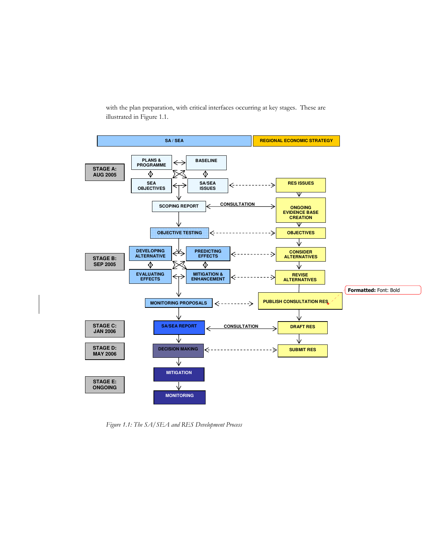with the plan preparation, with critical interfaces occurring at key stages. These are illustrated in Figure 1.1.



Figure 1.1: The SA/SEA and RES Development Process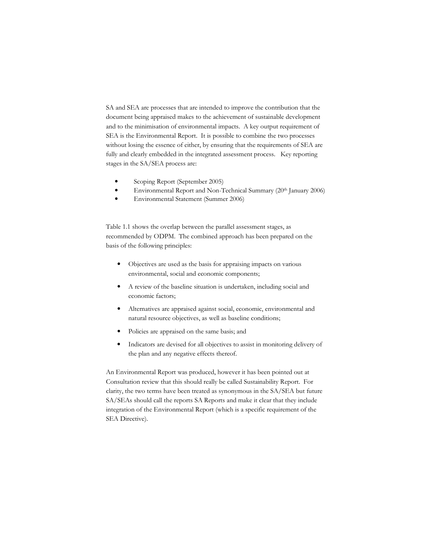SA and SEA are processes that are intended to improve the contribution that the document being appraised makes to the achievement of sustainable development and to the minimisation of environmental impacts. A key output requirement of SEA is the Environmental Report. It is possible to combine the two processes without losing the essence of either, by ensuring that the requirements of SEA are fully and clearly embedded in the integrated assessment process. Key reporting stages in the SA/SEA process are:

- Scoping Report (September 2005)
- Environmental Report and Non-Technical Summary (20th January 2006)
- Environmental Statement (Summer 2006)

Table 1.1 shows the overlap between the parallel assessment stages, as recommended by ODPM. The combined approach has been prepared on the basis of the following principles:

- Objectives are used as the basis for appraising impacts on various  $\bullet$ environmental, social and economic components;
- A review of the baseline situation is undertaken, including social and  $\bullet$ economic factors;
- Alternatives are appraised against social, economic, environmental and  $\bullet$ natural resource objectives, as well as baseline conditions;
- Policies are appraised on the same basis; and  $\bullet$
- Indicators are devised for all objectives to assist in monitoring delivery of  $\bullet$ the plan and any negative effects thereof.

An Environmental Report was produced, however it has been pointed out at Consultation review that this should really be called Sustainability Report. For clarity, the two terms have been treated as synonymous in the SA/SEA but future SA/SEAs should call the reports SA Reports and make it clear that they include integration of the Environmental Report (which is a specific requirement of the SEA Directive).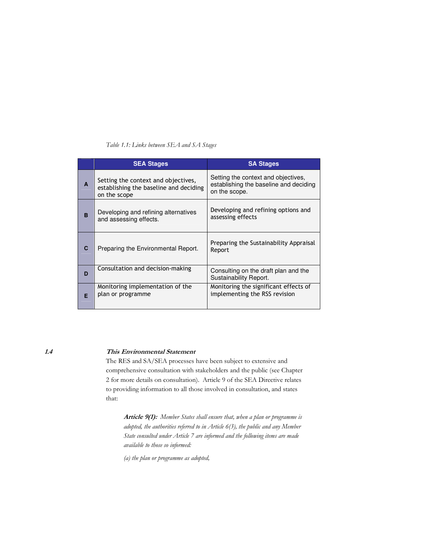| Table 1.1: Links between SEA and SA Stages |  |  |  |  |  |  |  |
|--------------------------------------------|--|--|--|--|--|--|--|
|--------------------------------------------|--|--|--|--|--|--|--|

|              | <b>SEA Stages</b>                                                                             | <b>SA Stages</b>                                                                               |
|--------------|-----------------------------------------------------------------------------------------------|------------------------------------------------------------------------------------------------|
| $\mathbf{A}$ | Setting the context and objectives,<br>establishing the baseline and deciding<br>on the scope | Setting the context and objectives,<br>establishing the baseline and deciding<br>on the scope. |
| <b>B</b>     | Developing and refining alternatives<br>and assessing effects.                                | Developing and refining options and<br>assessing effects                                       |
| C            | Preparing the Environmental Report.                                                           | Preparing the Sustainability Appraisal<br>Report                                               |
| D            | Consultation and decision-making                                                              | Consulting on the draft plan and the<br>Sustainability Report.                                 |
| F            | Monitoring implementation of the<br>plan or programme                                         | Monitoring the significant effects of<br>implementing the RSS revision                         |

 $1.4$ 

#### This Environmental Statement

The RES and SA/SEA processes have been subject to extensive and comprehensive consultation with stakeholders and the public (see Chapter 2 for more details on consultation). Article 9 of the SEA Directive relates to providing information to all those involved in consultation, and states that:

Article 9(1): Member States shall ensure that, when a plan or programme is adopted, the authorities referred to in Article  $6(3)$ , the public and any Member State consulted under Article 7 are informed and the following items are made available to those so informed:

(a) the plan or programme as adopted,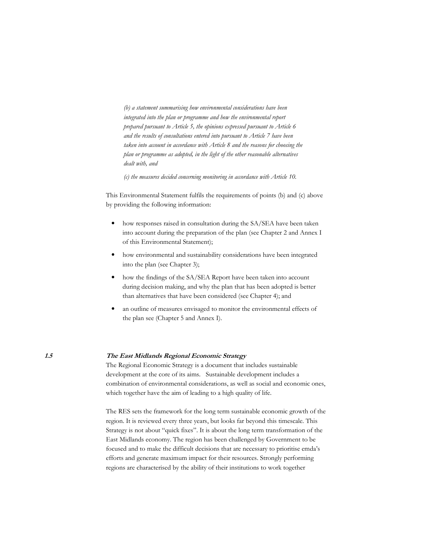(b) a statement summarising how environmental considerations have been integrated into the plan or programme and how the environmental report prepared pursuant to Article 5, the opinions expressed pursuant to Article 6 and the results of consultations entered into pursuant to Article 7 have been taken into account in accordance with Article 8 and the reasons for choosing the plan or programme as adopted, in the light of the other reasonable alternatives dealt with, and

 $(c)$  the measures decided concerning monitoring in accordance with Article 10.

This Environmental Statement fulfils the requirements of points (b) and (c) above by providing the following information:

- how responses raised in consultation during the SA/SEA have been taken  $\bullet$ into account during the preparation of the plan (see Chapter 2 and Annex I of this Environmental Statement);
- $\bullet$ how environmental and sustainability considerations have been integrated into the plan (see Chapter 3);
- how the findings of the SA/SEA Report have been taken into account  $\bullet$ during decision making, and why the plan that has been adopted is better than alternatives that have been considered (see Chapter 4); and
- an outline of measures envisaged to monitor the environmental effects of  $\bullet$ the plan see (Chapter 5 and Annex I).

#### The East Midlands Regional Economic Strategy

The Regional Economic Strategy is a document that includes sustainable development at the core of its aims. Sustainable development includes a combination of environmental considerations, as well as social and economic ones, which together have the aim of leading to a high quality of life.

The RES sets the framework for the long term sustainable economic growth of the region. It is reviewed every three years, but looks far beyond this timescale. This Strategy is not about "quick fixes". It is about the long term transformation of the East Midlands economy. The region has been challenged by Government to be focused and to make the difficult decisions that are necessary to prioritise emda's efforts and generate maximum impact for their resources. Strongly performing regions are characterised by the ability of their institutions to work together

 $1.5$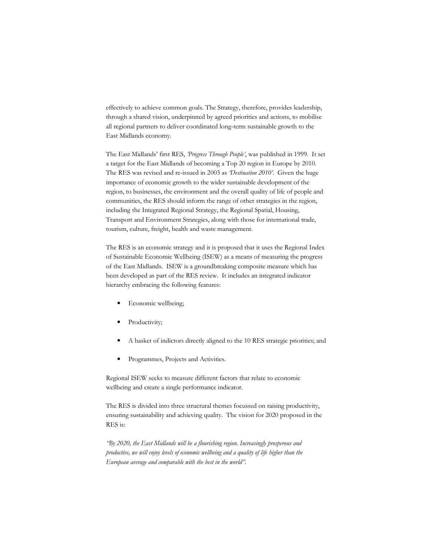effectively to achieve common goals. The Strategy, therefore, provides leadership, through a shared vision, underpinned by agreed priorities and actions, to mobilise all regional partners to deliver coordinated long-term sustainable growth to the East Midlands economy.

The East Midlands' first RES, Progress Through People', was published in 1999. It set a target for the East Midlands of becoming a Top 20 region in Europe by 2010. The RES was revised and re-issued in 2003 as *Destination 2010'*. Given the huge importance of economic growth to the wider sustainable development of the region, to businesses, the environment and the overall quality of life of people and communities, the RES should inform the range of other strategies in the region, including the Integrated Regional Strategy, the Regional Spatial, Housing, Transport and Environment Strategies, along with those for international trade, tourism, culture, freight, health and waste management.

The RES is an economic strategy and it is proposed that it uses the Regional Index of Sustainable Economic Wellbeing (ISEW) as a means of measuring the progress of the East Midlands. ISEW is a groundbreaking composite measure which has been developed as part of the RES review. It includes an integrated indicator hierarchy embracing the following features:

- $\bullet$ Economic wellbeing:
- Productivity;
- A basket of indictors directly aligned to the 10 RES strategic priorities; and
- $\bullet$ Programmes, Projects and Activities.

Regional ISEW seeks to measure different factors that relate to economic wellbeing and create a single performance indicator.

The RES is divided into three structural themes focussed on raising productivity, ensuring sustainability and achieving quality. The vision for 2020 proposed in the RES is:

'By 2020, the East Midlands will be a flourishing region. Increasingly prosperous and productive, we will enjoy levels of economic wellbeing and a quality of life higher than the European average and comparable with the best in the world".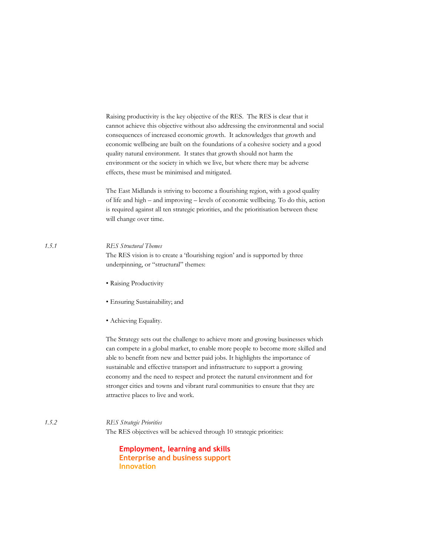Raising productivity is the key objective of the RES. The RES is clear that it cannot achieve this objective without also addressing the environmental and social consequences of increased economic growth. It acknowledges that growth and economic wellbeing are built on the foundations of a cohesive society and a good quality natural environment. It states that growth should not harm the environment or the society in which we live, but where there may be adverse effects, these must be minimised and mitigated.

The East Midlands is striving to become a flourishing region, with a good quality of life and high - and improving - levels of economic wellbeing. To do this, action is required against all ten strategic priorities, and the prioritisation between these will change over time.

#### **RES Structural Themes**

 $1.5.1$ 

The RES vision is to create a 'flourishing region' and is supported by three underpinning, or "structural" themes:

- · Raising Productivity
- · Ensuring Sustainability; and
- Achieving Equality.

The Strategy sets out the challenge to achieve more and growing businesses which can compete in a global market, to enable more people to become more skilled and able to benefit from new and better paid jobs. It highlights the importance of sustainable and effective transport and infrastructure to support a growing economy and the need to respect and protect the natural environment and for stronger cities and towns and vibrant rural communities to ensure that they are attractive places to live and work.

 $1.5.2$ **RES Strategic Priorities** The RES objectives will be achieved through 10 strategic priorities:

> **Employment, learning and skills Enterprise and business support Innovation**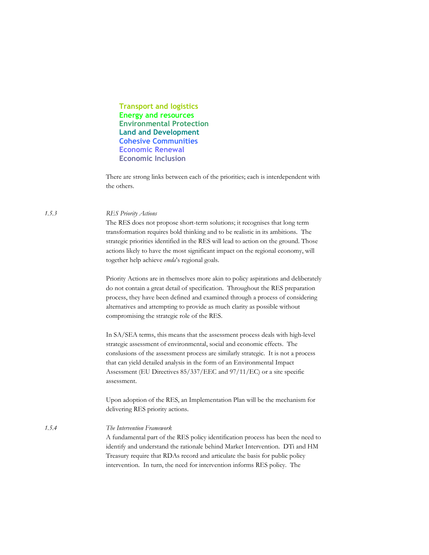**Transport and logistics Energy and resources Environmental Protection Land and Development Cohesive Communities Economic Renewal Economic Inclusion** 

There are strong links between each of the priorities; each is interdependent with the others.

#### **RES Priority Actions**

The RES does not propose short-term solutions; it recognises that long term transformation requires bold thinking and to be realistic in its ambitions. The strategic priorities identified in the RES will lead to action on the ground. Those actions likely to have the most significant impact on the regional economy, will together help achieve emda's regional goals.

Priority Actions are in themselves more akin to policy aspirations and deliberately do not contain a great detail of specification. Throughout the RES preparation process, they have been defined and examined through a process of considering alternatives and attempting to provide as much clarity as possible without compromising the strategic role of the RES.

In SA/SEA terms, this means that the assessment process deals with high-level strategic assessment of environmental, social and economic effects. The conslusions of the assessment process are similarly strategic. It is not a process that can yield detailed analysis in the form of an Environmental Impact Assessment (EU Directives 85/337/EEC and 97/11/EC) or a site specific assessment.

Upon adoption of the RES, an Implementation Plan will be the mechanism for delivering RES priority actions.

The Intervention Framework A fundamental part of the RES policy identification process has been the need to identify and understand the rationale behind Market Intervention. DTi and HM Treasury require that RDAs record and articulate the basis for public policy intervention. In turn, the need for intervention informs RES policy. The

 $1.5.3$ 

 $1.5.4$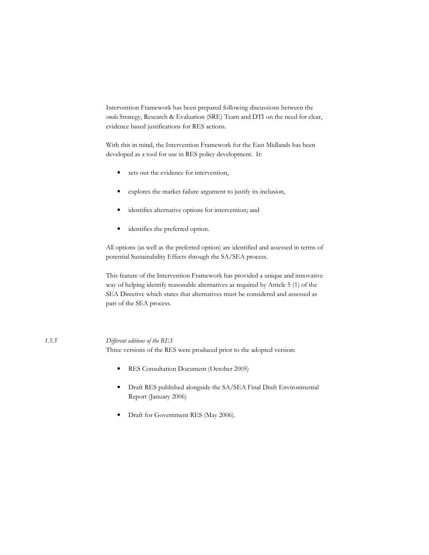Intervention Framework has been prepared following discussions between the emda Strategy, Research & Evaluation (SRE) Team and DTI on the need for clear, evidence based justifications for RES actions.

With this in mind, the Intervention Framework for the East Midlands has been developed as a tool for use in RES policy development. It:

- sets out the evidence for intervention,  $\bullet$
- explores the market failure argument to justify its inclusion,  $\bullet$
- identifies alternative options for intervention; and  $\bullet$
- identifies the preferred option.  $\bullet$

All options (as well as the preferred option) are identified and assessed in terms of potential Sustainability Effects through the SA/SEA process.

This feature of the Intervention Framework has provided a unique and innovative way of helping identify reasonable alternatives as required by Article 5 (1) of the SEA Directive which states that alternatives must be considered and assessed as part of the SEA process.

#### Different editions of the RES

 $1, 5, 5$ 

Three versions of the RES were produced prior to the adopted version:

- RES Consultation Document (October 2005)  $\bullet$
- Draft RES published alongside the SA/SEA Final Draft Environmental Report (January 2006)
- $\bullet$ Draft for Government RES (May 2006).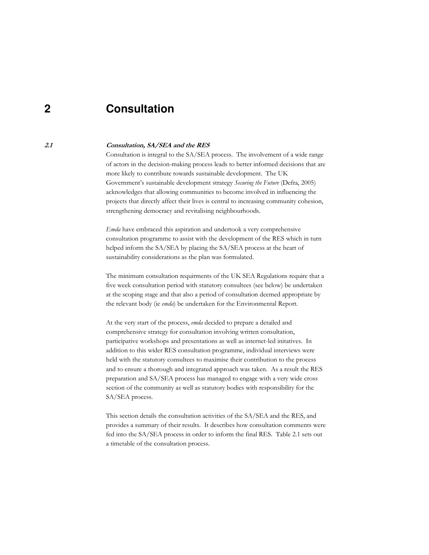#### $\mathbf 2$ Consultation

#### $2.1$ Consultation, SA/SEA and the RES

Consultation is integral to the SA/SEA process. The involvement of a wide range of actors in the decision-making process leads to better informed decisions that are more likely to contribute towards sustainable development. The UK Government's sustainable development strategy Securing the Future (Defra, 2005) acknowledges that allowing communities to become involved in influencing the projects that directly affect their lives is central to increasing community cohesion, strengthening democracy and revitalising neighbourhoods.

*Emda* have embraced this aspiration and undertook a very comprehensive consultation programme to assist with the development of the RES which in turn helped inform the SA/SEA by placing the SA/SEA process at the heart of sustainability considerations as the plan was formulated.

The minimum consultation requirments of the UK SEA Regulations require that a five week consultation period with statutory consultees (see below) be undertaken at the scoping stage and that also a period of consultation deemed appropriate by the relevant body (ie emda) be undertaken for the Environmental Report.

At the very start of the process, emda decided to prepare a detailed and comprehensive strategy for consultation involving written consultation, participative workshops and presentations as well as internet-led initatives. In addition to this wider RES consultation programme, individual interviews were held with the statutory consultees to maximise their contribution to the process and to ensure a thorough and integrated approach was taken. As a result the RES preparation and SA/SEA process has managed to engage with a very wide cross section of the community as well as statutory bodies with responsibility for the SA/SEA process.

This section details the consultation activities of the SA/SEA and the RES, and provides a summary of their results. It describes how consultation comments were fed into the SA/SEA process in order to inform the final RES. Table 2.1 sets out a timetable of the consultation process.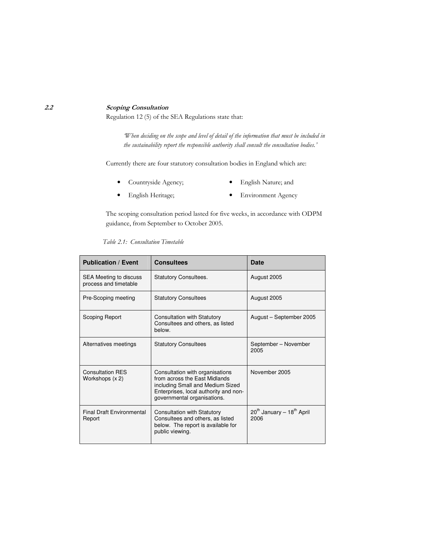#### **Scoping Consultation**

Regulation 12 (5) of the SEA Regulations state that:

When deciding on the scope and level of detail of the information that must be included in the sustainability report the responsible authority shall consult the consultation bodies.'

Currently there are four statutory consultation bodies in England which are:

- Countryside Agency;
- English Nature; and
- · English Heritage;
- Environment Agency

The scoping consultation period lasted for five weeks, in accordance with ODPM guidance, from September to October 2005.

| <b>Publication / Event</b>                      | <b>Consultees</b>                                                                                                                                                            | Date                                                      |
|-------------------------------------------------|------------------------------------------------------------------------------------------------------------------------------------------------------------------------------|-----------------------------------------------------------|
| SEA Meeting to discuss<br>process and timetable | <b>Statutory Consultees.</b>                                                                                                                                                 | August 2005                                               |
| Pre-Scoping meeting                             | <b>Statutory Consultees</b>                                                                                                                                                  | August 2005                                               |
| Scoping Report                                  | <b>Consultation with Statutory</b><br>Consultees and others, as listed<br>helow.                                                                                             | August - September 2005                                   |
| Alternatives meetings                           | <b>Statutory Consultees</b>                                                                                                                                                  | September - November<br>2005                              |
| <b>Consultation RES</b><br>Workshops (x 2)      | Consultation with organisations<br>from across the East Midlands<br>including Small and Medium Sized<br>Enterprises, local authority and non-<br>governmental organisations. | November 2005                                             |
| <b>Final Draft Environmental</b><br>Report      | <b>Consultation with Statutory</b><br>Consultees and others, as listed<br>below. The report is available for<br>public viewing.                                              | 20 <sup>th</sup> January - 18 <sup>th</sup> April<br>2006 |

#### Table 2.1: Consultation Timetable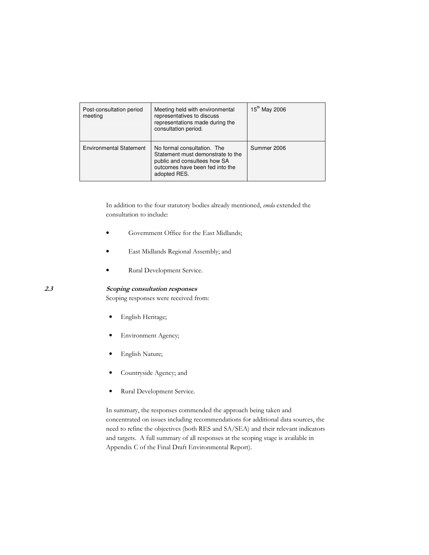| Post-consultation period<br>meeting | Meeting held with environmental<br>representatives to discuss<br>representations made during the<br>consultation period.                            | 15 <sup>th</sup> May 2006 |
|-------------------------------------|-----------------------------------------------------------------------------------------------------------------------------------------------------|---------------------------|
| <b>Environmental Statement</b>      | No formal consultation. The<br>Statement must demonstrate to the<br>public and consultees how SA<br>outcomes have been fed into the<br>adopted RES. | Summer 2006               |

In addition to the four statutory bodies already mentioned, emda extended the consultation to include:

- Government Office for the East Midlands;
- · East Midlands Regional Assembly; and
- Rural Development Service.

#### 3 Scoping consultation responses

Scoping responses were received from:

- · English Heritage;
- Environment Agency;
- · English Nature;
- Countryside Agency; and
- Rural Development Service.

In summary, the responses commended the approach being taken and concentrated on issues including recommendations for additional data sources, the need to refine the objectives (both RES and SA/SEA) and their relevant indicators and targets. A full summary of all responses at the scoping stage is available in Appendix C of the Final Draft Environmental Report).

 $2.3$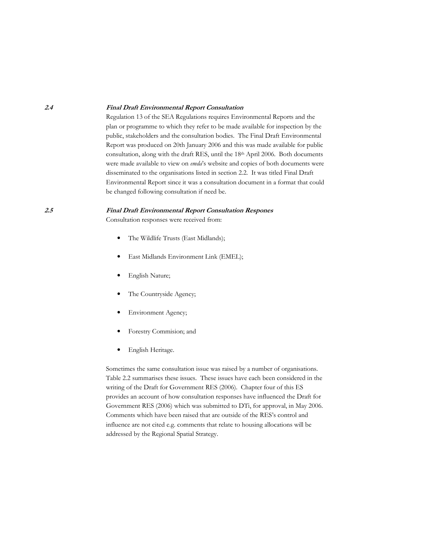#### **Final Draft Environmental Report Consultation**

Regulation 13 of the SEA Regulations requires Environmental Reports and the plan or programme to which they refer to be made available for inspection by the public, stakeholders and the consultation bodies. The Final Draft Environmental Report was produced on 20th January 2006 and this was made available for public consultation, along with the draft RES, until the 18th April 2006. Both documents were made available to view on emda's website and copies of both documents were disseminated to the organisations listed in section 2.2. It was titled Final Draft Environmental Report since it was a consultation document in a format that could be changed following consultation if need be.

#### **Final Draft Environmental Report Consultation Respones**

Consultation responses were received from:

- The Wildlife Trusts (East Midlands);  $\bullet$
- $\bullet$ East Midlands Environment Link (EMEL);
- English Nature;
- The Countryside Agency;
- Environment Agency;
- Forestry Commision; and  $\bullet$
- $\bullet$ English Heritage.

Sometimes the same consultation issue was raised by a number of organisations. Table 2.2 summarises these issues. These issues have each been considered in the writing of the Draft for Government RES (2006). Chapter four of this ES provides an account of how consultation responses have influenced the Draft for Government RES (2006) which was submitted to DTi, for approval, in May 2006. Comments which have been raised that are outside of the RES's control and influence are not cited e.g. comments that relate to housing allocations will be addressed by the Regional Spatial Strategy.

 $2.4$ 

 $2.5$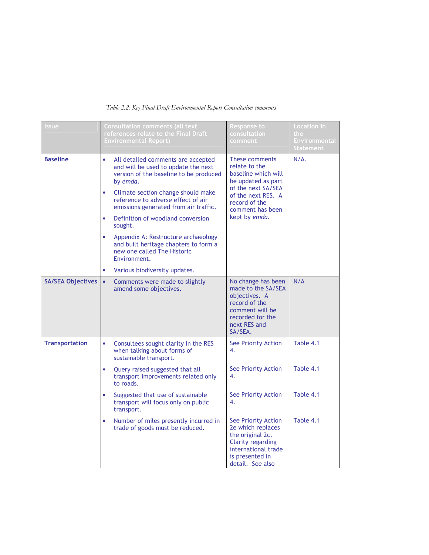| <b>ssue</b>              | <b>Consultation comments (all text</b><br>references relate to the Final Draft<br><b>Environmental Report)</b>                                                                                                                                                                                                                                                                                                                                                                                                                        | Response to<br>consultation<br>comment                                                                                                                                         | Location in<br>the<br><b>Environmental</b><br>Statement |
|--------------------------|---------------------------------------------------------------------------------------------------------------------------------------------------------------------------------------------------------------------------------------------------------------------------------------------------------------------------------------------------------------------------------------------------------------------------------------------------------------------------------------------------------------------------------------|--------------------------------------------------------------------------------------------------------------------------------------------------------------------------------|---------------------------------------------------------|
| <b>Baseline</b>          | $\bullet$<br>All detailed comments are accepted<br>and will be used to update the next<br>version of the baseline to be produced<br>by emda.<br>Climate section change should make<br>$\bullet$<br>reference to adverse effect of air<br>emissions generated from air traffic.<br>Definition of woodland conversion<br>$\bullet$<br>sought.<br>$\bullet$<br>Appendix A: Restructure archaeology<br>and built heritage chapters to form a<br>new one called The Historic<br>Environment.<br>Various biodiversity updates.<br>$\bullet$ | These comments<br>relate to the<br>baseline which will<br>be updated as part<br>of the next SA/SEA<br>of the next RES. A<br>record of the<br>comment has been<br>kept by emda. | $N/A$ .                                                 |
| <b>SA/SEA Objectives</b> | $\bullet$<br>Comments were made to slightly<br>amend some objectives.                                                                                                                                                                                                                                                                                                                                                                                                                                                                 | No change has been<br>made to the SA/SEA<br>objectives. A<br>record of the<br>comment will be<br>recorded for the<br>next RES and<br>SA/SEA.                                   | N/A                                                     |
| <b>Transportation</b>    | $\bullet$<br>Consultees sought clarity in the RES<br>when talking about forms of<br>sustainable transport.                                                                                                                                                                                                                                                                                                                                                                                                                            | <b>See Priority Action</b><br>4.                                                                                                                                               | Table 4.1                                               |
|                          | Query raised suggested that all<br>transport improvements related only<br>to roads.                                                                                                                                                                                                                                                                                                                                                                                                                                                   | See Priority Action<br>4.                                                                                                                                                      | Table 4.1                                               |
|                          | Suggested that use of sustainable<br>transport will focus only on public<br>transport.                                                                                                                                                                                                                                                                                                                                                                                                                                                | <b>See Priority Action</b><br>4.                                                                                                                                               | Table 4.1                                               |
|                          | Number of miles presently incurred in<br>trade of goods must be reduced.                                                                                                                                                                                                                                                                                                                                                                                                                                                              | See Priority Action<br>2e which replaces<br>the original 2c.<br><b>Clarity regarding</b><br>international trade<br>is presented in<br>detail. See also                         | Table 4.1                                               |

### Table 2.2: Key Final Draft Environmental Report Consultation comments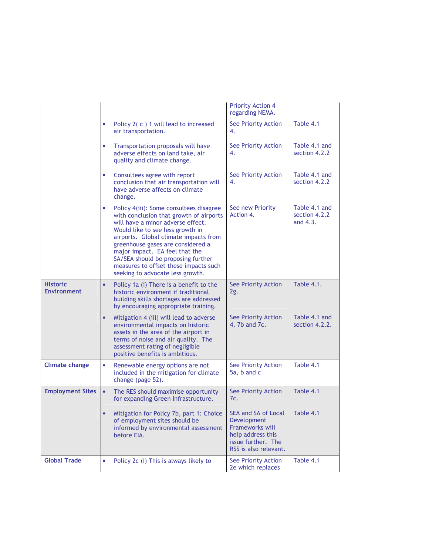|                                       |           |                                                                                                                                                                                                                                                                                                                                                                                                | <b>Priority Action 4</b><br>regarding NEMA.                                                                                                |                                              |
|---------------------------------------|-----------|------------------------------------------------------------------------------------------------------------------------------------------------------------------------------------------------------------------------------------------------------------------------------------------------------------------------------------------------------------------------------------------------|--------------------------------------------------------------------------------------------------------------------------------------------|----------------------------------------------|
|                                       | ۰         | Policy $2(c)$ 1 will lead to increased<br>air transportation.                                                                                                                                                                                                                                                                                                                                  | See Priority Action<br>4.                                                                                                                  | Table 4.1                                    |
|                                       | $\bullet$ | Transportation proposals will have<br>adverse effects on land take, air<br>quality and climate change.                                                                                                                                                                                                                                                                                         | See Priority Action<br>4.                                                                                                                  | Table 4.1 and<br>section 4.2.2               |
|                                       | ۰         | Consultees agree with report<br>conclusion that air transportation will<br>have adverse affects on climate<br>change.                                                                                                                                                                                                                                                                          | <b>See Priority Action</b><br>4.                                                                                                           | Table 4.1 and<br>section 4.2.2               |
|                                       | ٠         | Policy 4(iii): Some consultees disagree<br>with conclusion that growth of airports<br>will have a minor adverse effect.<br>Would like to see less growth in<br>airports. Global climate impacts from<br>greenhouse gases are considered a<br>major impact. EA feel that the<br>SA/SEA should be proposing further<br>measures to offset these impacts such<br>seeking to advocate less growth. | See new Priority<br>Action 4.                                                                                                              | Table 4.1 and<br>section 4.2.2<br>and $4.3.$ |
| <b>Historic</b><br><b>Environment</b> | $\bullet$ | Policy 1a (i) There is a benefit to the<br>historic environment if traditional<br>building skills shortages are addressed<br>by encouraging appropriate training.                                                                                                                                                                                                                              | See Priority Action<br>2g.                                                                                                                 | <b>Table 4.1.</b>                            |
|                                       | $\bullet$ | Mitigation 4 (iii) will lead to adverse<br>environmental impacts on historic<br>assets in the area of the airport in<br>terms of noise and air quality. The<br>assessment rating of negligible<br>positive benefits is ambitious.                                                                                                                                                              | See Priority Action<br>4, 7b and 7c.                                                                                                       | Table 4.1 and<br>section 4.2.2.              |
| <b>Climate change</b>                 | ٠         | Renewable energy options are not<br>included in the mitigation for climate<br>change (page 52).                                                                                                                                                                                                                                                                                                | See Priority Action<br>5a, b and c                                                                                                         | Table 4.1                                    |
| <b>Employment Sites</b>               | $\bullet$ | The RES should maximise opportunity<br>for expanding Green Infrastructure.                                                                                                                                                                                                                                                                                                                     | See Priority Action<br>7c.                                                                                                                 | Table 4.1                                    |
|                                       |           | Mitigation for Policy 7b, part 1: Choice<br>of employment sites should be<br>informed by environmental assessment<br>before EIA.                                                                                                                                                                                                                                                               | SEA and SA of Local Table 4.1<br>Development<br><b>Frameworks will</b><br>help address this<br>issue further. The<br>RSS is also relevant. |                                              |
| <b>Global Trade</b>                   | ۰         | Policy 2c (i) This is always likely to                                                                                                                                                                                                                                                                                                                                                         | See Priority Action<br>2e which replaces                                                                                                   | Table 4.1                                    |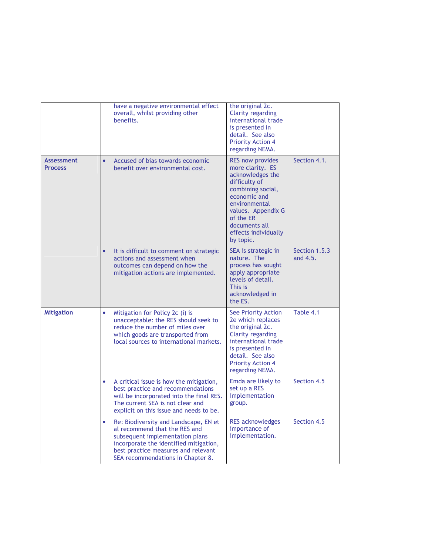|                                     | have a negative environmental effect<br>overall, whilst providing other<br>benefits.                                                                                                                                                 | the original 2c.<br>Clarity regarding<br>international trade<br>is presented in<br>detail. See also<br><b>Priority Action 4</b><br>regarding NEMA.                                                                              |                           |
|-------------------------------------|--------------------------------------------------------------------------------------------------------------------------------------------------------------------------------------------------------------------------------------|---------------------------------------------------------------------------------------------------------------------------------------------------------------------------------------------------------------------------------|---------------------------|
| <b>Assessment</b><br><b>Process</b> | Accused of bias towards economic<br>$\bullet$<br>benefit over environmental cost.                                                                                                                                                    | <b>RES now provides</b><br>more clarity. ES<br>acknowledges the<br>difficulty of<br>combining social,<br>economic and<br>environmental<br>values. Appendix G<br>of the ER<br>documents all<br>effects individually<br>by topic. | Section 4.1.              |
|                                     | It is difficult to comment on strategic<br>$\bullet$<br>actions and assessment when<br>outcomes can depend on how the<br>mitigation actions are implemented.                                                                         | SEA is strategic in<br>nature. The<br>process has sought<br>apply appropriate<br>levels of detail.<br>This is<br>acknowledged in<br>the ES.                                                                                     | Section 1.5.3<br>and 4.5. |
| <b>Mitigation</b>                   | Mitigation for Policy 2c (i) is<br>۰<br>unacceptable: the RES should seek to<br>reduce the number of miles over<br>which goods are transported from<br>local sources to international markets.                                       | See Priority Action<br>2e which replaces<br>the original 2c.<br><b>Clarity regarding</b><br>international trade<br>is presented in<br>detail. See also<br><b>Priority Action 4</b><br>regarding NEMA.                           | Table 4.1                 |
|                                     | A critical issue is how the mitigation,<br>$\bullet$<br>best practice and recommendations<br>will be incorporated into the final RES.<br>The current SEA is not clear and<br>explicit on this issue and needs to be.                 | Emda are likely to<br>set up a RES<br>implementation<br>group.                                                                                                                                                                  | Section 4.5               |
|                                     | Re: Biodiversity and Landscape, EN et<br>۰<br>al recommend that the RES and<br>subsequent implementation plans<br>incorporate the identified mitigation,<br>best practice measures and relevant<br>SEA recommendations in Chapter 8. | <b>RES</b> acknowledges<br>importance of<br>implementation.                                                                                                                                                                     | Section 4.5               |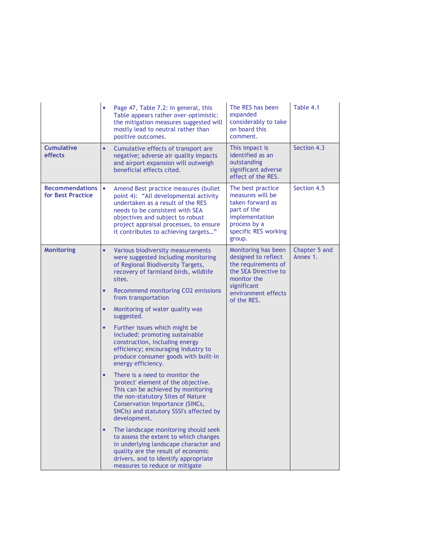|                                             | $\bullet$           | Page 47, Table 7.2: In general, this<br>Table appears rather over-optimistic:<br>the mitigation measures suggested will<br>mostly lead to neutral rather than<br>positive outcomes.                                                                                         | The RES has been<br>expanded<br>considerably to take<br>on board this<br>comment.                                                            | Table 4.1                 |
|---------------------------------------------|---------------------|-----------------------------------------------------------------------------------------------------------------------------------------------------------------------------------------------------------------------------------------------------------------------------|----------------------------------------------------------------------------------------------------------------------------------------------|---------------------------|
| <b>Cumulative</b><br>effects                | $\bullet$           | Cumulative effects of transport are<br>negative; adverse air quality impacts<br>and airport expansion will outweigh<br>beneficial effects cited.                                                                                                                            | This impact is<br>identified as an<br>outstanding<br>significant adverse<br>effect of the RES.                                               | Section 4.3               |
| <b>Recommendations</b><br>for Best Practice | ۰                   | Amend Best practice measures (bullet<br>point 4): "All developmental activity<br>undertaken as a result of the RES<br>needs to be consistent with SEA<br>objectives and subject to robust<br>project appraisal processes, to ensure<br>it contributes to achieving targets" | The best practice<br>measures will be<br>taken forward as<br>part of the<br>implementation<br>process by a<br>specific RES working<br>group. | Section 4.5               |
| <b>Monitoring</b>                           | $\bullet$<br>sites. | Various biodiversity measurements<br>were suggested including monitoring<br>of Regional Biodiversity Targets,<br>recovery of farmland birds, wildlife                                                                                                                       | Monitoring has been<br>designed to reflect<br>the requirements of<br>the SEA Directive to<br>monitor the                                     | Chapter 5 and<br>Annex 1. |
|                                             | $\bullet$           | Recommend monitoring CO2 emissions<br>from transportation                                                                                                                                                                                                                   | significant<br>environment effects<br>of the RES.                                                                                            |                           |
|                                             | $\bullet$           | Monitoring of water quality was<br>suggested.                                                                                                                                                                                                                               |                                                                                                                                              |                           |
|                                             | $\bullet$           | Further issues which might be<br>included: promoting sustainable<br>construction, including energy<br>efficiency; encouraging industry to<br>produce consumer goods with built-in<br>energy efficiency.                                                                     |                                                                                                                                              |                           |
|                                             | $\bullet$           | There is a need to monitor the<br>'protect' element of the objective.<br>This can be achieved by monitoring<br>the non-statutory Sites of Nature<br>Conservation Importance (SINCs,<br>SNCIs) and statutory SSSI's affected by<br>development.                              |                                                                                                                                              |                           |
|                                             | $\bullet$           | The landscape monitoring should seek<br>to assess the extent to which changes<br>in underlying landscape character and<br>quality are the result of economic<br>drivers, and to identify appropriate<br>measures to reduce or mitigate                                      |                                                                                                                                              |                           |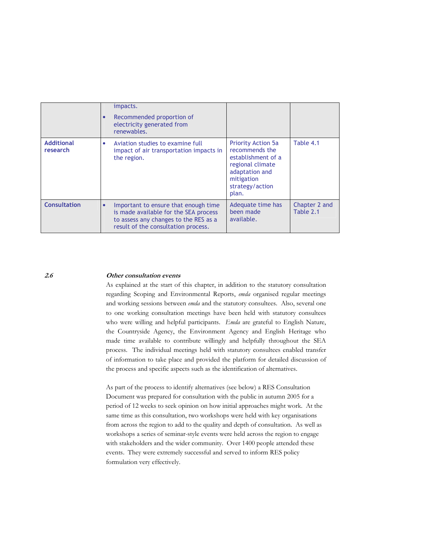|                               | impacts.<br>Recommended proportion of<br>electricity generated from<br>renewables.                                                                            |                                                                                                                                                   |                            |
|-------------------------------|---------------------------------------------------------------------------------------------------------------------------------------------------------------|---------------------------------------------------------------------------------------------------------------------------------------------------|----------------------------|
| <b>Additional</b><br>research | Aviation studies to examine full<br>۰<br>impact of air transportation impacts in<br>the region.                                                               | <b>Priority Action 5a</b><br>recommends the<br>establishment of a<br>regional climate<br>adaptation and<br>mitigation<br>strategy/action<br>plan. | Table 4.1                  |
| <b>Consultation</b>           | Important to ensure that enough time<br>is made available for the SEA process<br>to assess any changes to the RES as a<br>result of the consultation process. | Adequate time has<br>been made<br>available.                                                                                                      | Chapter 2 and<br>Table 2.1 |

 $2.6$ 

#### Other consultation events

As explained at the start of this chapter, in addition to the statutory consultation regarding Scoping and Environmental Reports, emda organised regular meetings and working sessions between *emda* and the statutory consultees. Also, several one to one working consultation meetings have been held with statutory consultees who were willing and helpful participants. Emda are grateful to English Nature, the Countryside Agency, the Environment Agency and English Heritage who made time available to contribute willingly and helpfully throughout the SEA process. The individual meetings held with statutory consultees enabled transfer of information to take place and provided the platform for detailed discussion of the process and specific aspects such as the identification of alternatives.

As part of the process to identify alternatives (see below) a RES Consultation Document was prepared for consultation with the public in autumn 2005 for a period of 12 weeks to seek opinion on how initial approaches might work. At the same time as this consultation, two workshops were held with key organisations from across the region to add to the quality and depth of consultation. As well as workshops a series of seminar-style events were held across the region to engage with stakeholders and the wider community. Over 1400 people attended these events. They were extremely successful and served to inform RES policy formulation very effectively.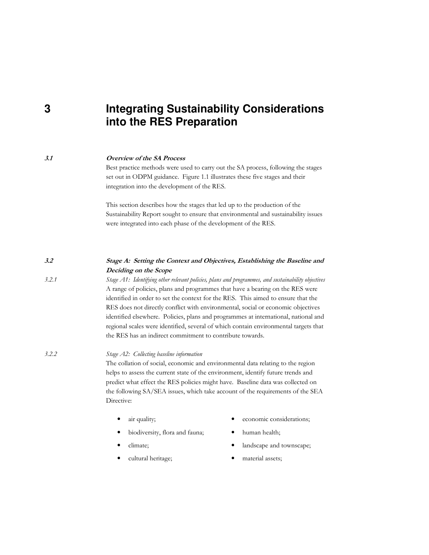### 3 **Integrating Sustainability Considerations** into the RES Preparation

#### **Overview of the SA Process**

 $3.1$ 

 $3.2$ 

 $3.2.1$ 

Best practice methods were used to carry out the SA process, following the stages set out in ODPM guidance. Figure 1.1 illustrates these five stages and their integration into the development of the RES.

This section describes how the stages that led up to the production of the Sustainability Report sought to ensure that environmental and sustainability issues were integrated into each phase of the development of the RES.

### Stage A: Setting the Context and Objectives, Establishing the Baseline and Deciding on the Scope

Stage A1: Identifying other relevant policies, plans and programmes, and sustainability objectives A range of policies, plans and programmes that have a bearing on the RES were identified in order to set the context for the RES. This aimed to ensure that the RES does not directly conflict with environmental, social or economic objectives identified elsewhere. Policies, plans and programmes at international, national and regional scales were identified, several of which contain environmental targets that the RES has an indirect commitment to contribute towards.

#### $3.2.2$ Stage A2: Collecting baseline information

The collation of social, economic and environmental data relating to the region helps to assess the current state of the environment, identify future trends and predict what effect the RES policies might have. Baseline data was collected on the following SA/SEA issues, which take account of the requirements of the SEA Directive:

- air quality;  $\bullet$ 
	- biodiversity, flora and fauna;
- climate;
- cultural heritage;
- economic considerations;
- human health;
- landscape and townscape;
- material assets;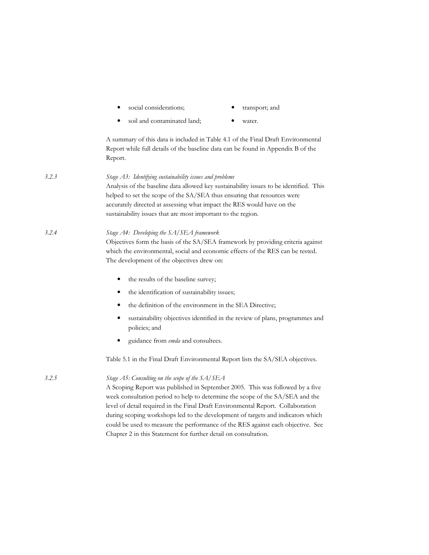|       | social considerations;<br>$\bullet$                                                                                                                                                                                                                                                                                                                                                                                                                                                                                                           | transport; and                                                              |  |  |  |
|-------|-----------------------------------------------------------------------------------------------------------------------------------------------------------------------------------------------------------------------------------------------------------------------------------------------------------------------------------------------------------------------------------------------------------------------------------------------------------------------------------------------------------------------------------------------|-----------------------------------------------------------------------------|--|--|--|
|       | soil and contaminated land;                                                                                                                                                                                                                                                                                                                                                                                                                                                                                                                   | water.                                                                      |  |  |  |
|       | A summary of this data is included in Table 4.1 of the Final Draft Environmental<br>Report while full details of the baseline data can be found in Appendix B of the<br>Report.                                                                                                                                                                                                                                                                                                                                                               |                                                                             |  |  |  |
| 3.2.3 | Stage A3: Identifying sustainability issues and problems<br>Analysis of the baseline data allowed key sustainability issues to be identified. This<br>helped to set the scope of the SA/SEA thus ensuring that resources were<br>accurately directed at assessing what impact the RES would have on the<br>sustainability issues that are most important to the region.                                                                                                                                                                       |                                                                             |  |  |  |
| 3.2.4 | Stage A4: Developing the SA/SEA framework<br>Objectives form the basis of the SA/SEA framework by providing criteria against<br>which the environmental, social and economic effects of the RES can be tested.<br>The development of the objectives drew on:                                                                                                                                                                                                                                                                                  |                                                                             |  |  |  |
|       | the results of the baseline survey;<br>٠                                                                                                                                                                                                                                                                                                                                                                                                                                                                                                      |                                                                             |  |  |  |
|       | the identification of sustainability issues;<br>٠                                                                                                                                                                                                                                                                                                                                                                                                                                                                                             |                                                                             |  |  |  |
|       | the definition of the environment in the SEA Directive;<br>٠                                                                                                                                                                                                                                                                                                                                                                                                                                                                                  |                                                                             |  |  |  |
|       | ٠<br>policies; and                                                                                                                                                                                                                                                                                                                                                                                                                                                                                                                            | sustainability objectives identified in the review of plans, programmes and |  |  |  |
|       | guidance from emda and consultees.                                                                                                                                                                                                                                                                                                                                                                                                                                                                                                            |                                                                             |  |  |  |
|       | Table 5.1 in the Final Draft Environmental Report lists the SA/SEA objectives.                                                                                                                                                                                                                                                                                                                                                                                                                                                                |                                                                             |  |  |  |
| 3.2.5 | Stage A5: Consulting on the scope of the SA/SEA<br>A Scoping Report was published in September 2005. This was followed by a five<br>week consultation period to help to determine the scope of the SA/SEA and the<br>level of detail required in the Final Draft Environmental Report. Collaboration<br>during scoping workshops led to the development of targets and indicators which<br>could be used to measure the performance of the RES against each objective. See<br>Chapter 2 in this Statement for further detail on consultation. |                                                                             |  |  |  |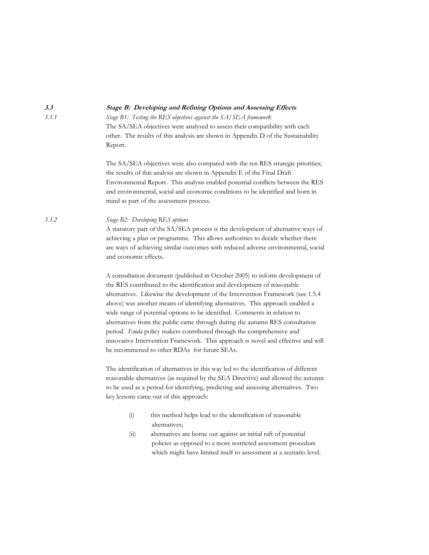Stage B: Developing and Refining Options and Assessing Effects  $3.3.1$ Stage B1: Testing the RES objectives against the SA/SEA framework The SA/SEA objectives were analysed to assess their compatibility with each other. The results of this analysis are shown in Appendix D of the Sustainability Report. The SA/SEA objectives were also compared with the ten RES strategic priorities; the results of this analysis are shown in Appendix E of the Final Draft Environmental Report. This analysis enabled potential conflicts between the RES and environmental, social and economic conditions to be identified and born in mind as part of the assessment process. Stage B2: Developing RES options  $3.3.2$ A statutory part of the SA/SEA process is the development of alternative ways of achieving a plan or programme. This allows authorities to decide whether there are ways of achieving similar outcomes with reduced adverse environmental, social and economic effects. A consultation document (published in October 2005) to inform development of the RES contributed to the identification and development of reasonable alternatives. Likewise the development of the Intervention Framework (see 1.5.4) above) was another means of identifying alternatives. This approach enabled a wide range of potential options to be identified. Comments in relation to alternatives from the public came through during the autumn RES consultation period. Emda policy makers contributed through the comprehensive and innovative Intervention Framework. This approach is novel and effective and will be recommened to other RDAs for future SEAs. The identification of alternatives in this way led to the identification of different reasonable alternatives (as required by the SEA Directive) and allowed the autumn to be used as a period for identifying, predicting and assessing alternatives. Two key lessons came our of this approach: this method helps lead to the identification of reasonable  $(i)$ alternatives; alternatives are borne out against an initial raft of potential  $(ii)$ policies as opposed to a more restricted assessment procedure which might have limited itself to assessment at a scenario level.

 $3.3$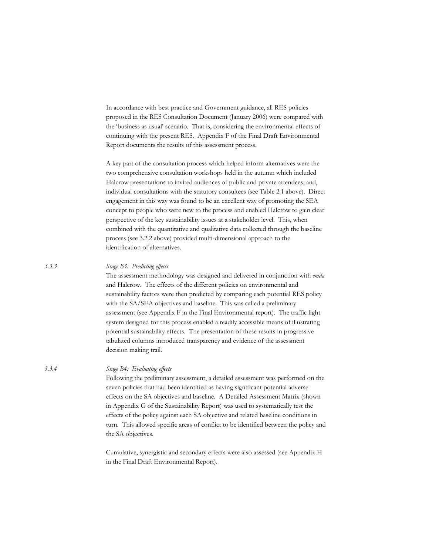In accordance with best practice and Government guidance, all RES policies proposed in the RES Consultation Document (January 2006) were compared with the 'business as usual' scenario. That is, considering the environmental effects of continuing with the present RES. Appendix F of the Final Draft Environmental Report documents the results of this assessment process.

A key part of the consultation process which helped inform alternatives were the two comprehensive consultation workshops held in the autumn which included Halcrow presentations to invited audiences of public and private attendees, and, individual consultations with the statutory consultees (see Table 2.1 above). Direct engagement in this way was found to be an excellent way of promoting the SEA concept to people who were new to the process and enabled Halcrow to gain clear perspective of the key sustainability issues at a stakeholder level. This, when combined with the quantitative and qualitative data collected through the baseline process (see 3.2.2 above) provided multi-dimensional approach to the identification of alternatives.

#### Stage B3: Predicting effects

The assessment methodology was designed and delivered in conjunction with *emda* and Halcrow. The effects of the different policies on environmental and sustainability factors were then predicted by comparing each potential RES policy with the SA/SEA objectives and baseline. This was called a preliminary assessment (see Appendix F in the Final Environmental report). The traffic light system designed for this process enabled a readily accessible means of illustrating potential sustainability effects. The presentation of these results in progressive tabulated columns introduced transparency and evidence of the assessment decision making trail.

 $3.3.4$ 

 $3.3.3$ 

### Stage B4: Evaluating effects

Following the preliminary assessment, a detailed assessment was performed on the seven policies that had been identified as having significant potential adverse effects on the SA objectives and baseline. A Detailed Assessment Matrix (shown in Appendix G of the Sustainability Report) was used to systematically test the effects of the policy against each SA objective and related baseline conditions in turn. This allowed specific areas of conflict to be identified between the policy and the SA objectives.

Cumulative, synergistic and secondary effects were also assessed (see Appendix H in the Final Draft Environmental Report).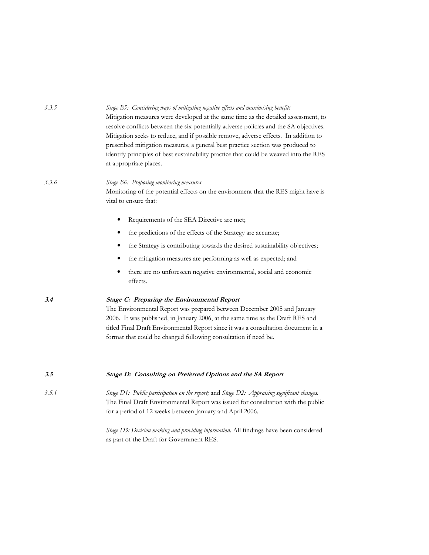|       | Mitigation measures were developed at the same time as the detailed assessment, to<br>resolve conflicts between the six potentially adverse policies and the SA objectives.<br>Mitigation seeks to reduce, and if possible remove, adverse effects. In addition to<br>prescribed mitigation measures, a general best practice section was produced to<br>identify principles of best sustainability practice that could be weaved into the RES<br>at appropriate places. |
|-------|--------------------------------------------------------------------------------------------------------------------------------------------------------------------------------------------------------------------------------------------------------------------------------------------------------------------------------------------------------------------------------------------------------------------------------------------------------------------------|
| 3.3.6 | Stage B6: Proposing monitoring measures<br>Monitoring of the potential effects on the environment that the RES might have is<br>vital to ensure that:                                                                                                                                                                                                                                                                                                                    |
|       | Requirements of the SEA Directive are met;<br>٠                                                                                                                                                                                                                                                                                                                                                                                                                          |
|       | the predictions of the effects of the Strategy are accurate;                                                                                                                                                                                                                                                                                                                                                                                                             |
|       | the Strategy is contributing towards the desired sustainability objectives;<br>$\bullet$                                                                                                                                                                                                                                                                                                                                                                                 |
|       | the mitigation measures are performing as well as expected; and                                                                                                                                                                                                                                                                                                                                                                                                          |
|       | there are no unforeseen negative environmental, social and economic<br>٠<br>effects.                                                                                                                                                                                                                                                                                                                                                                                     |
| 3.4   | Stage C: Preparing the Environmental Report<br>The Environmental Report was prepared between December 2005 and January<br>2006. It was published, in January 2006, at the same time as the Draft RES and<br>titled Final Draft Environmental Report since it was a consultation document in a<br>format that could be changed following consultation if need be.                                                                                                         |
| 3.5   | Stage D: Consulting on Preferred Options and the SA Report                                                                                                                                                                                                                                                                                                                                                                                                               |
| 3.5.1 | Stage D1: Public participation on the report; and Stage D2: Appraising significant changes.<br>The Final Draft Environmental Report was issued for consultation with the public<br>for a period of 12 weeks between January and April 2006.                                                                                                                                                                                                                              |
|       | Stage D3: Decision making and providing information. All findings have been considered<br>as part of the Draft for Government RES.                                                                                                                                                                                                                                                                                                                                       |

Stage B5: Considering ways of mitigating negative effects and maximising benefits

 $3.3.5$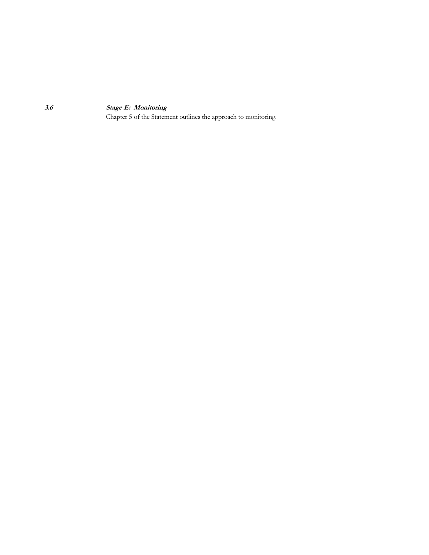**Stage E: Monitoring** 

Chapter 5 of the Statement outlines the approach to monitoring.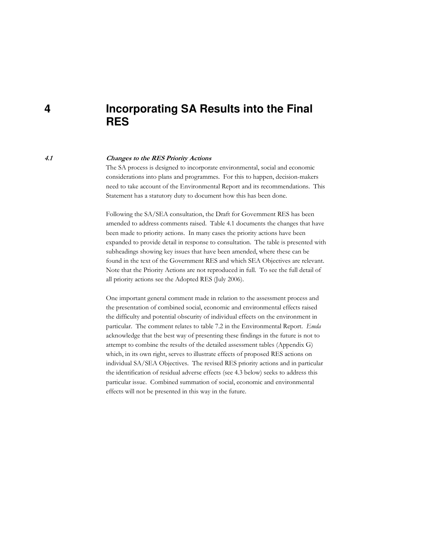### **4 Incorporating SA Results into the Final RES**

#### 4.1

#### **Changes to the RES Priority Actions**

The SA process is designed to incorporate environmental, social and economic considerations into plans and programmes. For this to happen, decision-makers need to take account of the Environmental Report and its recommendations. This Statement has a statutory duty to document how this has been done.

Following the SA/SEA consultation, the Draft for Government RES has been amended to address comments raised. Table 4.1 documents the changes that have been made to priority actions. In many cases the priority actions have been expanded to provide detail in response to consultation. The table is presented with subheadings showing key issues that have been amended, where these can be found in the text of the Government RES and which SEA Objectives are relevant. Note that the Priority Actions are not reproduced in full. To see the full detail of all priority actions see the Adopted RES (July 2006).

One important general comment made in relation to the assessment process and the presentation of combined social, economic and environmental effects raised the difficulty and potential obscurity of individual effects on the environment in particular. The comment relates to table 7.2 in the Environmental Report. Emda acknowledge that the best way of presenting these findings in the future is not to attempt to combine the results of the detailed assessment tables (Appendix G) which, in its own right, serves to illustrate effects of proposed RES actions on individual SA/SEA Objectives. The revised RES priority actions and in particular the identification of residual adverse effects (see 4.3 below) seeks to address this particular issue. Combined summation of social, economic and environmental effects will not be presented in this way in the future.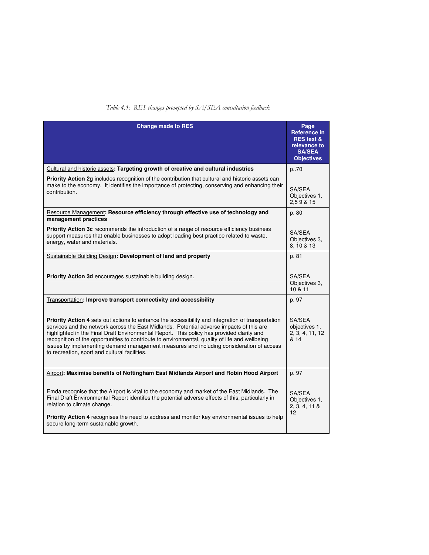#### Table 4.1: RES changes prompted by SA/SEA consultation feedback

| <b>Change made to RES</b>                                                                                                                                                                                                                                                                                                                                                                                                                                                                                                                       | Page<br>Reference in<br><b>RES</b> text &<br>relevance to<br><b>SA/SEA</b><br><b>Objectives</b> |
|-------------------------------------------------------------------------------------------------------------------------------------------------------------------------------------------------------------------------------------------------------------------------------------------------------------------------------------------------------------------------------------------------------------------------------------------------------------------------------------------------------------------------------------------------|-------------------------------------------------------------------------------------------------|
| Cultural and historic assets: Targeting growth of creative and cultural industries                                                                                                                                                                                                                                                                                                                                                                                                                                                              | p.70                                                                                            |
| Priority Action 2g includes recognition of the contribution that cultural and historic assets can<br>make to the economy. It identifies the importance of protecting, conserving and enhancing their<br>contribution.                                                                                                                                                                                                                                                                                                                           | SA/SEA<br>Objectives 1,<br>2,59 & 15                                                            |
| Resource Management: Resource efficiency through effective use of technology and<br>management practices                                                                                                                                                                                                                                                                                                                                                                                                                                        | p. 80                                                                                           |
| <b>Priority Action 3c</b> recommends the introduction of a range of resource efficiency business<br>support measures that enable businesses to adopt leading best practice related to waste,<br>energy, water and materials.                                                                                                                                                                                                                                                                                                                    | SA/SEA<br>Objectives 3.<br>8, 10 & 13                                                           |
| Sustainable Building Design: Development of land and property                                                                                                                                                                                                                                                                                                                                                                                                                                                                                   | p. 81                                                                                           |
| <b>Priority Action 3d</b> encourages sustainable building design.                                                                                                                                                                                                                                                                                                                                                                                                                                                                               | SA/SEA<br>Objectives 3.<br>10 & 11                                                              |
| Transportation: Improve transport connectivity and accessibility                                                                                                                                                                                                                                                                                                                                                                                                                                                                                | p. 97                                                                                           |
| <b>Priority Action 4</b> sets out actions to enhance the accessibility and integration of transportation<br>services and the network across the East Midlands. Potential adverse impacts of this are<br>highlighted in the Final Draft Environmental Report. This policy has provided clarity and<br>recognition of the opportunities to contribute to environmental, quality of life and wellbeing<br>issues by implementing demand management measures and including consideration of access<br>to recreation, sport and cultural facilities. | SA/SEA<br>objectives 1.<br>2, 3, 4, 11, 12<br>& 14                                              |
| Airport: Maximise benefits of Nottingham East Midlands Airport and Robin Hood Airport                                                                                                                                                                                                                                                                                                                                                                                                                                                           | p. 97                                                                                           |
| Emda recognise that the Airport is vital to the economy and market of the East Midlands. The<br>Final Draft Environmental Report identifes the potential adverse effects of this, particularly in<br>relation to climate change.                                                                                                                                                                                                                                                                                                                | SA/SFA<br>Objectives 1.<br>2, 3, 4, 11 &<br>12                                                  |
| <b>Priority Action 4</b> recognises the need to address and monitor key environmental issues to help<br>secure long-term sustainable growth.                                                                                                                                                                                                                                                                                                                                                                                                    |                                                                                                 |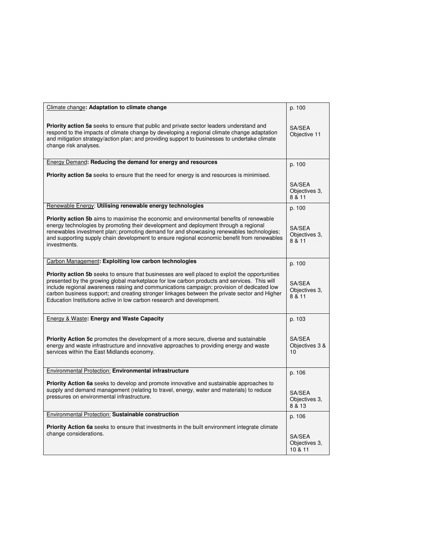| Climate change: Adaptation to climate change                                                                                                                                                                                                                                                                                                                                                                                                                                  | p. 100                             |
|-------------------------------------------------------------------------------------------------------------------------------------------------------------------------------------------------------------------------------------------------------------------------------------------------------------------------------------------------------------------------------------------------------------------------------------------------------------------------------|------------------------------------|
| <b>Priority action 5a</b> seeks to ensure that public and private sector leaders understand and<br>respond to the impacts of climate change by developing a regional climate change adaptation<br>and mitigation strategy/action plan; and providing support to businesses to undertake climate<br>change risk analyses.                                                                                                                                                      | SA/SEA<br>Objective 11             |
| Energy Demand: Reducing the demand for energy and resources                                                                                                                                                                                                                                                                                                                                                                                                                   | p. 100                             |
| <b>Priority action 5a</b> seeks to ensure that the need for energy is and resources is minimised.                                                                                                                                                                                                                                                                                                                                                                             |                                    |
|                                                                                                                                                                                                                                                                                                                                                                                                                                                                               | SA/SEA<br>Objectives 3,<br>8 & 11  |
| Renewable Energy: Utilising renewable energy technologies                                                                                                                                                                                                                                                                                                                                                                                                                     | p. 100                             |
| <b>Priority action 5b</b> aims to maximise the economic and environmental benefits of renewable<br>energy technologies by promoting their development and deployment through a regional<br>renewables investment plan; promoting demand for and showcasing renewables technologies;<br>and supporting supply chain development to ensure regional economic benefit from renewables<br>investments.                                                                            | SA/SEA<br>Objectives 3,<br>8 & 11  |
| Carbon Management: Exploiting low carbon technologies                                                                                                                                                                                                                                                                                                                                                                                                                         | p. 100                             |
| <b>Priority action 5b</b> seeks to ensure that businesses are well placed to exploit the opportunities<br>presented by the growing global marketplace for low carbon products and services. This will<br>include regional awareness raising and communications campaign; provision of dedicated low<br>carbon business support; and creating stronger linkages between the private sector and Higher<br>Education Institutions active in low carbon research and development. | SA/SEA<br>Objectives 3,<br>8 & 11  |
| <b>Energy &amp; Waste: Energy and Waste Capacity</b>                                                                                                                                                                                                                                                                                                                                                                                                                          | p. 103                             |
| <b>Priority Action 5c</b> promotes the development of a more secure, diverse and sustainable<br>energy and waste infrastructure and innovative approaches to providing energy and waste<br>services within the East Midlands economy.                                                                                                                                                                                                                                         | SA/SEA<br>Objectives 3 &<br>10     |
| Environmental Protection: Environmental infrastructure                                                                                                                                                                                                                                                                                                                                                                                                                        | p. 106                             |
| <b>Priority Action 6a</b> seeks to develop and promote innovative and sustainable approaches to<br>supply and demand management (relating to travel, energy, water and materials) to reduce<br>pressures on environmental infrastructure.                                                                                                                                                                                                                                     | SA/SEA<br>Objectives 3,<br>8 & 13  |
| Environmental Protection: Sustainable construction                                                                                                                                                                                                                                                                                                                                                                                                                            | p. 106                             |
| <b>Priority Action 6a</b> seeks to ensure that investments in the built environment integrate climate<br>change considerations.                                                                                                                                                                                                                                                                                                                                               | SA/SEA<br>Objectives 3.<br>10 & 11 |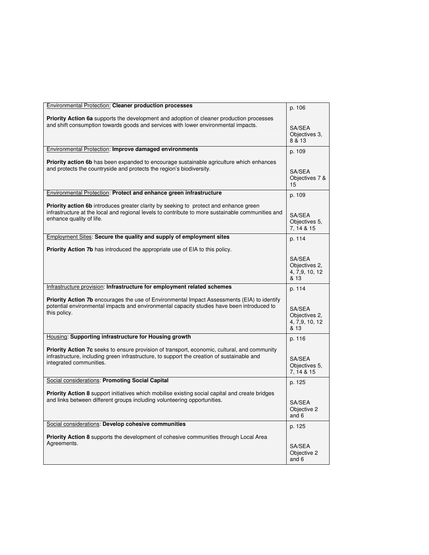| Environmental Protection: Cleaner production processes                                                                                                                                                                        | p. 106                                            |
|-------------------------------------------------------------------------------------------------------------------------------------------------------------------------------------------------------------------------------|---------------------------------------------------|
| <b>Priority Action 6a</b> supports the development and adoption of cleaner production processes<br>and shift consumption towards goods and services with lower environmental impacts.                                         | SA/SEA<br>Objectives 3.<br>8 & 13                 |
| Environmental Protection: Improve damaged environments                                                                                                                                                                        | p. 109                                            |
| <b>Priority action 6b</b> has been expanded to encourage sustainable agriculture which enhances<br>and protects the countryside and protects the region's biodiversity.                                                       | SA/SEA<br>Objectives 7 &<br>15                    |
| Environmental Protection: Protect and enhance green infrastructure                                                                                                                                                            | p. 109                                            |
| <b>Priority action 6b</b> introduces greater clarity by seeking to protect and enhance green<br>infrastructure at the local and regional levels to contribute to more sustainable communities and<br>enhance quality of life. | SA/SEA<br>Objectives 5.<br>7, 14 & 15             |
| Employment Sites: Secure the quality and supply of employment sites                                                                                                                                                           | p. 114                                            |
| <b>Priority Action 7b</b> has introduced the appropriate use of EIA to this policy.                                                                                                                                           |                                                   |
|                                                                                                                                                                                                                               | SA/SEA<br>Objectives 2,<br>4, 7,9, 10, 12<br>& 13 |
| Infrastructure provision: Infrastructure for employment related schemes                                                                                                                                                       | p. 114                                            |
| <b>Priority Action 7b</b> encourages the use of Environmental Impact Assessments (EIA) to identify<br>potential environmental impacts and environmental capacity studies have been introduced to<br>this policy.              | SA/SEA<br>Objectives 2,<br>4, 7,9, 10, 12<br>& 13 |
| Housing: Supporting infrastructure for Housing growth                                                                                                                                                                         | p. 116                                            |
| Priority Action 7c seeks to ensure provision of transport, economic, cultural, and community<br>infrastructure, including green infrastructure, to support the creation of sustainable and<br>integrated communities.         | SA/SEA<br>Objectives 5.<br>7, 14 & 15             |
| Social considerations: Promoting Social Capital                                                                                                                                                                               | p. 125                                            |
| <b>Priority Action 8</b> support initiatives which mobilise existing social capital and create bridges<br>and links between different groups including volunteering opportunities.                                            | SA/SEA<br>Objective 2<br>and 6                    |
| Social considerations: Develop cohesive communities                                                                                                                                                                           | p. 125                                            |
| <b>Priority Action 8</b> supports the development of cohesive communities through Local Area<br>Agreements.                                                                                                                   |                                                   |
|                                                                                                                                                                                                                               | SA/SEA<br>Objective 2<br>and 6                    |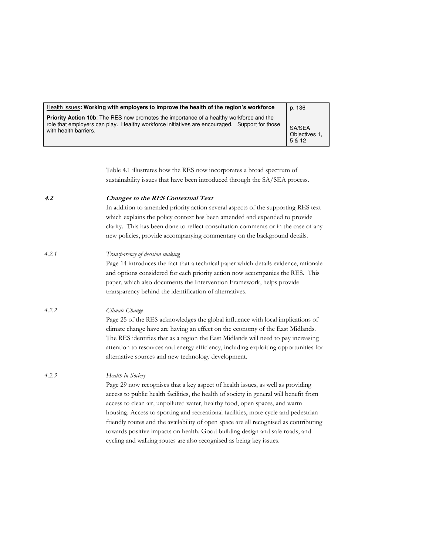| Health issues: Working with employers to improve the health of the region's workforce                                                                                                                                    | p. 136                          |
|--------------------------------------------------------------------------------------------------------------------------------------------------------------------------------------------------------------------------|---------------------------------|
| <b>Priority Action 10b:</b> The RES now promotes the importance of a healthy workforce and the<br>role that employers can play. Healthy workforce initiatives are encouraged. Support for those<br>with health barriers. | SA/SEA<br>Objectives 1,<br>5812 |

|       | Table 4.1 illustrates how the RES now incorporates a broad spectrum of<br>sustainability issues that have been introduced through the SA/SEA process.                                                                                                                                                                                                                                                                                                                                                                                                                                                              |
|-------|--------------------------------------------------------------------------------------------------------------------------------------------------------------------------------------------------------------------------------------------------------------------------------------------------------------------------------------------------------------------------------------------------------------------------------------------------------------------------------------------------------------------------------------------------------------------------------------------------------------------|
| 4.2   | <b>Changes to the RES Contextual Text</b><br>In addition to amended priority action several aspects of the supporting RES text<br>which explains the policy context has been amended and expanded to provide<br>clarity. This has been done to reflect consultation comments or in the case of any<br>new policies, provide accompanying commentary on the background details.                                                                                                                                                                                                                                     |
| 4.2.1 | Transparency of decision making<br>Page 14 introduces the fact that a technical paper which details evidence, rationale<br>and options considered for each priority action now accompanies the RES. This<br>paper, which also documents the Intervention Framework, helps provide<br>transparency behind the identification of alternatives.                                                                                                                                                                                                                                                                       |
| 4.2.2 | Climate Change<br>Page 25 of the RES acknowledges the global influence with local implications of<br>climate change have are having an effect on the economy of the East Midlands.<br>The RES identifies that as a region the East Midlands will need to pay increasing<br>attention to resources and energy efficiency, including exploiting opportunities for<br>alternative sources and new technology development.                                                                                                                                                                                             |
| 4.2.3 | Health in Society<br>Page 29 now recognises that a key aspect of health issues, as well as providing<br>access to public health facilities, the health of society in general will benefit from<br>access to clean air, unpolluted water, healthy food, open spaces, and warm<br>housing. Access to sporting and recreational facilities, more cycle and pedestrian<br>friendly routes and the availability of open space are all recognised as contributing<br>towards positive impacts on health. Good building design and safe roads, and<br>cycling and walking routes are also recognised as being key issues. |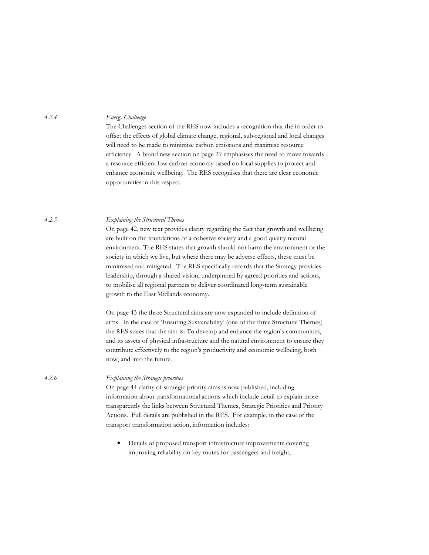Energy Challenge

The Challenges section of the RES now includes a recognition that the in order to offset the effects of global climate change, regional, sub-regional and local changes will need to be made to minimise carbon emissions and maximise resource efficiency. A brand new section on page 29 emphasises the need to move towards a resource efficient low carbon economy based on local supplies to protect and enhance economic wellbeing. The RES recognises that there are clear economic opportunities in this respect.

#### Explaining the Structural Themes

On page 42, new text provides clarity regarding the fact that growth and wellbeing are built on the foundations of a cohesive society and a good quality natural environment. The RES states that growth should not harm the environment or the society in which we live, but where there may be adverse effects, these must be minimised and mitigated. The RES specifically records that the Strategy provides leadership, through a shared vision, underpinned by agreed priorities and actions, to mobilise all regional partners to deliver coordinated long-term sustainable growth to the East Midlands economy.

On page 43 the three Structural aims are now expanded to include definition of aims. In the case of 'Ensuring Sustainability' (one of the three Structural Themes) the RES states that the aim is: To develop and enhance the region's communities, and its assets of physical infrastructure and the natural environment to ensure they contribute effectively to the region's productivity and economic wellbeing, both now, and into the future.

Explaining the Strategic priorities

On page 44 clarity of strategic priority aims is now published, including information about transformational actions which include detail to explain more transparently the links between Structural Themes, Strategic Priorities and Priority Actions. Full details are published in the RES. For example, in the case of the transport transformation action, information includes:

 $\bullet$ Details of proposed transport infrastructure improvements covering improving reliability on key routes for passengers and freight;

 $4.2.4$ 

 $4.2.5$ 

 $4.2.6$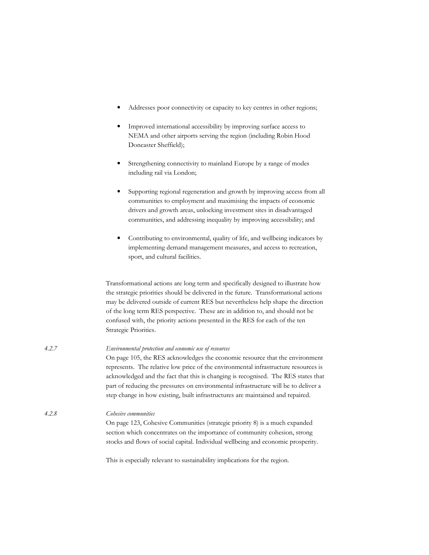- Addresses poor connectivity or capacity to key centres in other regions;  $\bullet$
- $\bullet$ Improved international accessibility by improving surface access to NEMA and other airports serving the region (including Robin Hood Doncaster Sheffield);
- Strengthening connectivity to mainland Europe by a range of modes  $\bullet$ including rail via London;
- $\bullet$ Supporting regional regeneration and growth by improving access from all communities to employment and maximising the impacts of economic drivers and growth areas, unlocking investment sites in disadvantaged communities, and addressing inequality by improving accessibility; and
- $\bullet$ Contributing to environmental, quality of life, and wellbeing indicators by implementing demand management measures, and access to recreation, sport, and cultural facilities.

Transformational actions are long term and specifically designed to illustrate how the strategic priorities should be delivered in the future. Transformational actions may be delivered outside of current RES but nevertheless help shape the direction of the long term RES perspective. These are in addition to, and should not be confused with, the priority actions presented in the RES for each of the ten Strategic Priorities.

| 4.2.7 | Environmental protection and economic use of resources<br>On page 105, the RES acknowledges the economic resource that the environment<br>represents. The relative low price of the environmental infrastructure resources is<br>acknowledged and the fact that this is changing is recognised. The RES states that<br>part of reducing the pressures on environmental infrastructure will be to deliver a<br>step change in how existing, built infrastructures are maintained and repaired. |
|-------|-----------------------------------------------------------------------------------------------------------------------------------------------------------------------------------------------------------------------------------------------------------------------------------------------------------------------------------------------------------------------------------------------------------------------------------------------------------------------------------------------|
| 4.2.8 | Cohesive communities<br>On page 123, Cohesive Communities (strategic priority 8) is a much expanded<br>section which concentrates on the importance of community cohesion, strong<br>stocks and flows of social capital. Individual wellbeing and economic prosperity.                                                                                                                                                                                                                        |

This is especially relevant to sustainability implications for the region.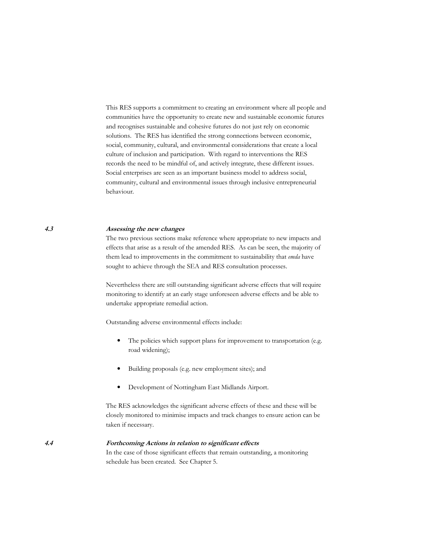This RES supports a commitment to creating an environment where all people and communities have the opportunity to create new and sustainable economic futures and recognises sustainable and cohesive futures do not just rely on economic solutions. The RES has identified the strong connections between economic, social, community, cultural, and environmental considerations that create a local culture of inclusion and participation. With regard to interventions the RES records the need to be mindful of, and actively integrate, these different issues. Social enterprises are seen as an important business model to address social, community, cultural and environmental issues through inclusive entrepreneurial behaviour.

#### $4.3$ Assessing the new changes

The two previous sections make reference where appropriate to new impacts and effects that arise as a result of the amended RES. As can be seen, the majority of them lead to improvements in the commitment to sustainability that *emda* have sought to achieve through the SEA and RES consultation processes.

Nevertheless there are still outstanding significant adverse effects that will require monitoring to identify at an early stage unforeseen adverse effects and be able to undertake appropriate remedial action.

Outstanding adverse environmental effects include:

- The policies which support plans for improvement to transportation (e.g. road widening);
- Building proposals (e.g. new employment sites); and  $\bullet$
- Development of Nottingham East Midlands Airport.  $\bullet$

The RES acknowledges the significant adverse effects of these and these will be closely monitored to minimise impacts and track changes to ensure action can be taken if necessary.

Forthcoming Actions in relation to significant effects

In the case of those significant effects that remain outstanding, a monitoring schedule has been created. See Chapter 5.

 $4.4$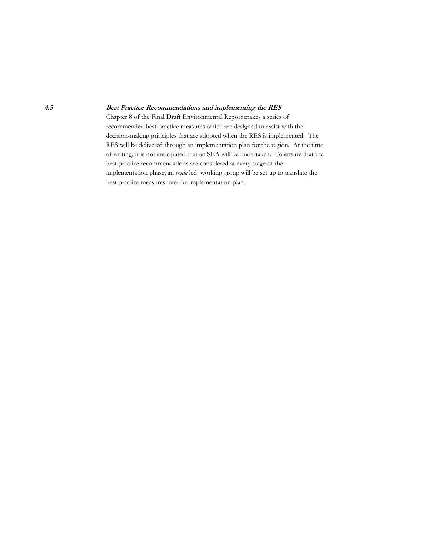#### **Best Practice Recommendations and implementing the RES**

Chapter 8 of the Final Draft Environmental Report makes a series of recommended best practice measures which are designed to assist with the decision-making principles that are adopted when the RES is implemented. The RES will be delivered through an implementation plan for the region. At the time of writing, it is not anticipated that an SEA will be undertaken. To ensure that the best practice recommendations are considered at every stage of the implementation phase, an emdaled working group will be set up to translate the best practice measures into the implementation plan.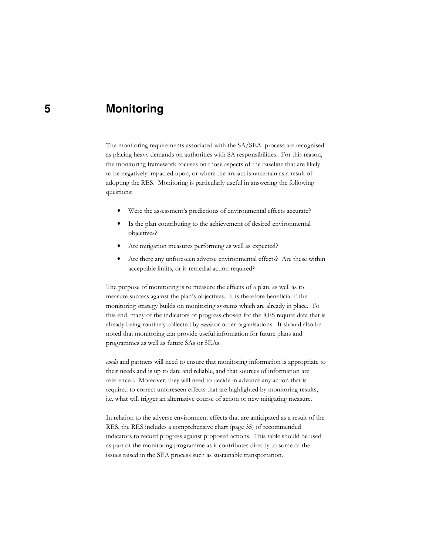### **Monitoring**

The monitoring requirements associated with the SA/SEA process are recognised as placing heavy demands on authorities with SA responsibilities. For this reason, the monitoring framework focuses on those aspects of the baseline that are likely to be negatively impacted upon, or where the impact is uncertain as a result of adopting the RES. Monitoring is particularly useful in answering the following questions:

- $\bullet$ Were the assessment's predictions of environmental effects accurate?
- Is the plan contributing to the achievement of desired environmental  $\bullet$ objectives?
- Are mitigation measures performing as well as expected?  $\bullet$
- Are there any unforeseen adverse environmental effects? Are these within  $\bullet$ acceptable limits, or is remedial action required?

The purpose of monitoring is to measure the effects of a plan, as well as to measure success against the plan's objectives. It is therefore beneficial if the monitoring strategy builds on monitoring systems which are already in place. To this end, many of the indicators of progress chosen for the RES require data that is already being routinely collected by emda or other organisations. It should also be noted that monitoring can provide useful information for future plans and programmes as well as future SAs or SEAs.

emda and partners will need to ensure that monitoring information is appropriate to their needs and is up to date and reliable, and that sources of information are referenced. Moreover, they will need to decide in advance any action that is required to correct unforeseen effects that are highlighted by monitoring results, i.e. what will trigger an alternative course of action or new mitigating measure.

In relation to the adverse environment effects that are anticipated as a result of the RES, the RES includes a comprehensive chart (page 35) of recommended indicators to record progress against proposed actions. This table should be used as part of the monitoring programme as it contributes directly to some of the issues raised in the SEA process such as sustainable transportation.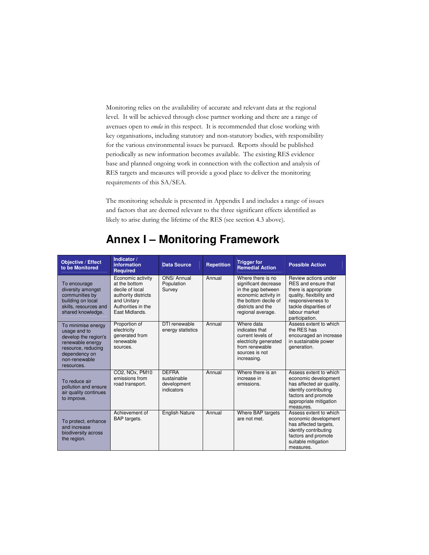Monitoring relies on the availability of accurate and relevant data at the regional level. It will be achieved through close partner working and there are a range of avenues open to *emda* in this respect. It is recommended that close working with key organisations, including statutory and non-statutory bodies, with responsibility for the various environmental issues be pursued. Reports should be published periodically as new information becomes available. The existing RES evidence base and planned ongoing work in connection with the collection and analysis of RES targets and measures will provide a good place to deliver the monitoring requirements of this SA/SEA.

The monitoring schedule is presented in Appendix I and includes a range of issues and factors that are deemed relevant to the three significant effects identified as likely to arise during the lifetime of the RES (see section 4.3 above).

| <b>Objective / Effect</b><br>to be Monitored                                                                                                         | Indicator /<br><b>information</b><br>Required                                                                                       | <b>Data Source</b>                                       | <b>Repetition</b> | <b>Trigger for</b><br><b>Remedial Action</b>                                                                                                              | <b>Possible Action</b>                                                                                                                                                           |
|------------------------------------------------------------------------------------------------------------------------------------------------------|-------------------------------------------------------------------------------------------------------------------------------------|----------------------------------------------------------|-------------------|-----------------------------------------------------------------------------------------------------------------------------------------------------------|----------------------------------------------------------------------------------------------------------------------------------------------------------------------------------|
| To encourage<br>diversity amongst<br>communities by<br>building on local<br>skills, resources and<br>shared knowledge.                               | Economic activity<br>at the bottom<br>decile of local<br>authority districts<br>and Unitary<br>Authorities in the<br>East Midlands. | ONS/ Annual<br>Population<br>Survey                      | Annual            | Where there is no<br>significant decrease<br>in the gap between<br>economic activity in<br>the bottom decile of<br>districts and the<br>regional average. | Review actions under<br>RES and ensure that<br>there is appropriate<br>quality, flexibility and<br>responsiveness to<br>tackle disparities of<br>labour market<br>participation. |
| To minimise energy<br>usage and to<br>develop the region's<br>renewable energy<br>resource, reducing<br>dependency on<br>non-renewable<br>resources. | Proportion of<br>electricity<br>generated from<br>renewable<br>sources.                                                             | DTI renewable<br>energy statistics                       | Annual            | Where data<br>indicates that<br>current levels of<br>electricity generated<br>from renewable<br>sources is not<br>increasing.                             | Assess extent to which<br>the RES has<br>encouraged an increase<br>in sustainable power<br>generation.                                                                           |
| To reduce air<br>pollution and ensure<br>air quality continues<br>to improve.                                                                        | CO2, NOx, PM10<br>emissions from<br>road transport.                                                                                 | <b>DEFRA</b><br>sustainable<br>development<br>indicators | Annual            | Where there is an<br>increase in<br>emissions.                                                                                                            | Assess extent to which<br>economic development<br>has affected air quality.<br>identify contributing<br>factors and promote<br>appropriate mitigation<br>measures.               |
| To protect, enhance<br>and increase<br>biodiversity across<br>the region.                                                                            | Achievement of<br>BAP targets.                                                                                                      | <b>English Nature</b>                                    | Annual            | Where BAP targets<br>are not met.                                                                                                                         | Assess extent to which<br>economic development<br>has affected targets.<br>identify contributing<br>factors and promote<br>suitable mitigation<br>measures.                      |

### **Annex I – Monitoring Framework**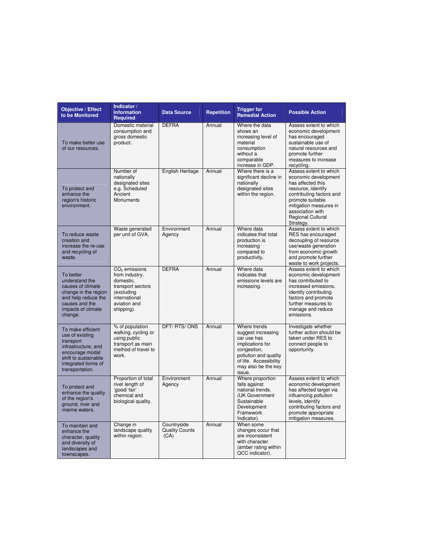| Objective / Effect<br>to be Monitored                                                                                                                         | Indicator /<br>information<br><b>Required</b>                                                                                    | <b>Data Source</b>                           | <b>Repetition</b> | <b>Trigger for</b><br><b>Remedial Action</b>                                                                                                                             | <b>Possible Action</b>                                                                                                                                                                                                           |
|---------------------------------------------------------------------------------------------------------------------------------------------------------------|----------------------------------------------------------------------------------------------------------------------------------|----------------------------------------------|-------------------|--------------------------------------------------------------------------------------------------------------------------------------------------------------------------|----------------------------------------------------------------------------------------------------------------------------------------------------------------------------------------------------------------------------------|
| To make better use<br>of our resources.                                                                                                                       | Domestic material<br>consumption and<br>gross domestic<br>product.                                                               | <b>DEFRA</b>                                 | Annual            | Where the data<br>shows an<br>increasing level of<br>material<br>consumption<br>without a<br>comparable<br>increase in GDP.                                              | Assess extent to which<br>economic development<br>has encouraged<br>sustainable use of<br>natural resources and<br>promote further<br>measures to increase<br>recycling.                                                         |
| To protect and<br>enhance the<br>region's historic<br>environment.                                                                                            | Number of<br>nationally<br>designated sites<br>e.g. Scheduled<br>Ancient<br><b>Monuments</b>                                     | English Heritage                             | Annual            | Where there is a<br>significant decline in<br>nationally<br>designated sites<br>within the region.                                                                       | Assess extent to which<br>economic development<br>has affected this<br>resource, identify<br>contributing factors and<br>promote suitable<br>mitigation measures in<br>association with<br><b>Regional Cultural</b><br>Strategy. |
| To reduce waste<br>creation and<br>increase the re-use<br>and recycling of<br>waste.                                                                          | Waste generated<br>per unit of GVA.                                                                                              | Environment<br>Agency                        | Annual            | Where data<br>indicates that total<br>production is<br>increasing<br>compared to<br>productivity.                                                                        | Assess extent to which<br>RES has encouraged<br>decoupling of resource<br>use/waste generation<br>from economic growth<br>and promote further<br>waste to work projects.                                                         |
| To better<br>understand the<br>causes of climate<br>change in the region<br>and help reduce the<br>causes and the<br>impacts of climate<br>change.            | $CO2$ emissions<br>from industry,<br>domestic,<br>transport sectors<br>(excluding<br>international<br>aviation and<br>shipping). | <b>DEFRA</b>                                 | Annual            | Where data<br>indicates that<br>emissions levels are<br>increasing.                                                                                                      | Assess extent to which<br>economic development<br>has contributed to<br>increased emissions.<br>identify contributing<br>factors and promote<br>further measures to<br>manage and reduce<br>emissions.                           |
| To make efficient<br>use of existing<br>transport<br>infrastructure, and<br>encourage modal<br>shift to sustainable<br>integrated forms of<br>transportation. | % of population<br>walking, cycling or<br>using public<br>transport as main<br>method of travel to<br>work.                      | DFT/RTS/ONS                                  | Annual            | Where trends<br>suggest increasing<br>car use has<br>implications for<br>congestion,<br>pollution and quality<br>of life. Accessibility<br>may also be the key<br>issue. | Investigate whether<br>further action should be<br>taken under RES to<br>connect people to<br>opportunity.                                                                                                                       |
| To protect and<br>enhance the quality<br>of the region's<br>ground, river and<br>marine waters.                                                               | Proportion of total<br>river length of<br>'good/ fair'<br>chemical and<br>biological quality.                                    | Environment<br>Agency                        | Annual            | Where proportion<br>falls against<br>national trends.<br>(UK Government<br>Sustainable<br>Development<br>Framework<br>Indicator).                                        | Assess extent to which<br>economic development<br>has affected target via<br>influencing pollution<br>levels, identify<br>contributing factors and<br>promote appropriate<br>mitigation measures.                                |
| To maintain and<br>enhance the<br>character, quality<br>and diversity of<br>landscapes and<br>townscapes.                                                     | Change in<br>landscape quality<br>within region.                                                                                 | Countryside<br><b>Quality Counts</b><br>(CA) | Annual            | When some<br>changes occur that<br>are inconsistent<br>with character<br>(amber rating within<br>QCC indicator).                                                         |                                                                                                                                                                                                                                  |